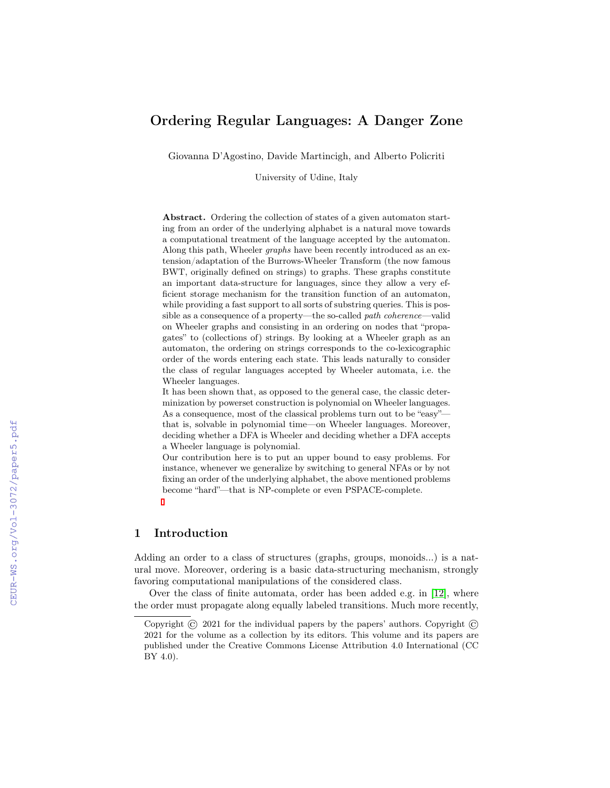# Ordering Regular Languages: A Danger Zone

Giovanna D'Agostino, Davide Martincigh, and Alberto Policriti

University of Udine, Italy

Abstract. Ordering the collection of states of a given automaton starting from an order of the underlying alphabet is a natural move towards a computational treatment of the language accepted by the automaton. Along this path, Wheeler graphs have been recently introduced as an extension/adaptation of the Burrows-Wheeler Transform (the now famous BWT, originally defined on strings) to graphs. These graphs constitute an important data-structure for languages, since they allow a very efficient storage mechanism for the transition function of an automaton, while providing a fast support to all sorts of substring queries. This is possible as a consequence of a property—the so-called path coherence—valid on Wheeler graphs and consisting in an ordering on nodes that "propagates" to (collections of) strings. By looking at a Wheeler graph as an automaton, the ordering on strings corresponds to the co-lexicographic order of the words entering each state. This leads naturally to consider the class of regular languages accepted by Wheeler automata, i.e. the Wheeler languages.

It has been shown that, as opposed to the general case, the classic determinization by powerset construction is polynomial on Wheeler languages. As a consequence, most of the classical problems turn out to be "easy" that is, solvable in polynomial time—on Wheeler languages. Moreover, deciding whether a DFA is Wheeler and deciding whether a DFA accepts a Wheeler language is polynomial.

Our contribution here is to put an upper bound to easy problems. For instance, whenever we generalize by switching to general NFAs or by not fixing an order of the underlying alphabet, the above mentioned problems become "hard"—that is NP-complete or even PSPACE-complete.

# 1 Introduction

Adding an order to a class of structures (graphs, groups, monoids...) is a natural move. Moreover, ordering is a basic data-structuring mechanism, strongly favoring computational manipulations of the considered class.

Over the class of finite automata, order has been added e.g. in [\[12\]](#page--1-0), where the order must propagate along equally labeled transitions. Much more recently,

Copyright  $\odot$  2021 for the individual papers by the papers' authors. Copyright  $\odot$ 2021 for the volume as a collection by its editors. This volume and its papers are published under the Creative Commons License Attribution 4.0 International (CC BY 4.0).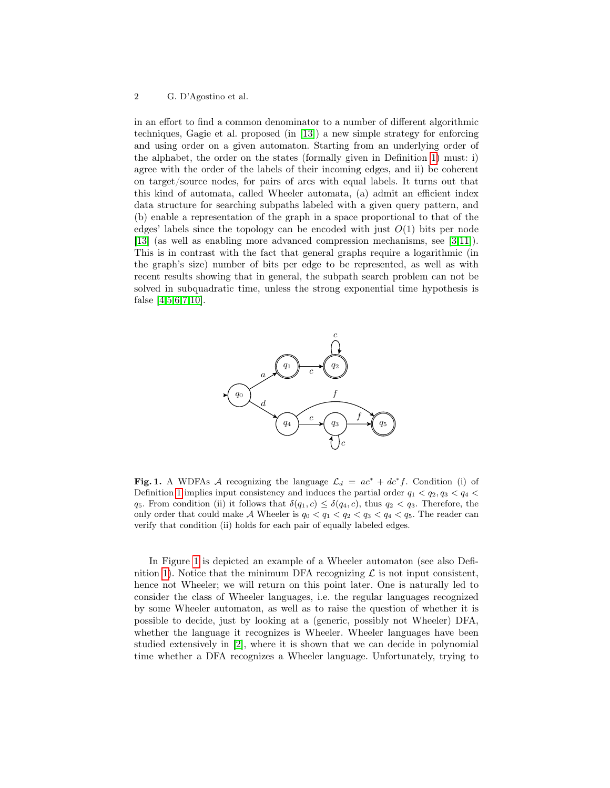in an effort to find a common denominator to a number of different algorithmic techniques, Gagie et al. proposed (in [\[13\]](#page-23-0)) a new simple strategy for enforcing and using order on a given automaton. Starting from an underlying order of the alphabet, the order on the states (formally given in Definition [1\)](#page-3-0) must: i) agree with the order of the labels of their incoming edges, and ii) be coherent on target/source nodes, for pairs of arcs with equal labels. It turns out that this kind of automata, called Wheeler automata, (a) admit an efficient index data structure for searching subpaths labeled with a given query pattern, and (b) enable a representation of the graph in a space proportional to that of the edges' labels since the topology can be encoded with just  $O(1)$  bits per node [\[13\]](#page-23-0) (as well as enabling more advanced compression mechanisms, see [\[3](#page-22-0)[,11\]](#page-23-1)). This is in contrast with the fact that general graphs require a logarithmic (in the graph's size) number of bits per edge to be represented, as well as with recent results showing that in general, the subpath search problem can not be solved in subquadratic time, unless the strong exponential time hypothesis is false [\[4,](#page-22-1)[5](#page-22-2)[,6](#page-22-3)[,7](#page-22-4)[,10\]](#page-22-5).



<span id="page-1-0"></span>Fig. 1. A WDFAs A recognizing the language  $\mathcal{L}_d = ac^* + dc^*f$ . Condition (i) of Definition [1](#page-3-0) implies input consistency and induces the partial order  $q_1 < q_2, q_3 < q_4 <$ q<sub>5</sub>. From condition (ii) it follows that  $\delta(q_1, c) \leq \delta(q_4, c)$ , thus  $q_2 < q_3$ . Therefore, the only order that could make A Wheeler is  $q_0 < q_1 < q_2 < q_3 < q_4 < q_5$ . The reader can verify that condition (ii) holds for each pair of equally labeled edges.

In Figure [1](#page-1-0) is depicted an example of a Wheeler automaton (see also Defi-nition [1\)](#page-3-0). Notice that the minimum DFA recognizing  $\mathcal L$  is not input consistent, hence not Wheeler; we will return on this point later. One is naturally led to consider the class of Wheeler languages, i.e. the regular languages recognized by some Wheeler automaton, as well as to raise the question of whether it is possible to decide, just by looking at a (generic, possibly not Wheeler) DFA, whether the language it recognizes is Wheeler. Wheeler languages have been studied extensively in [\[2\]](#page-22-6), where it is shown that we can decide in polynomial time whether a DFA recognizes a Wheeler language. Unfortunately, trying to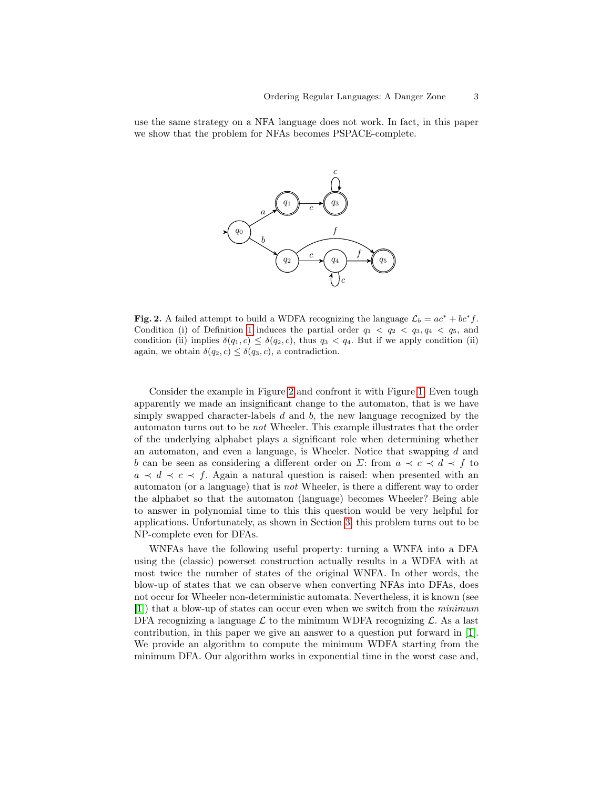use the same strategy on a NFA language does not work. In fact, in this paper we show that the problem for NFAs becomes PSPACE-complete.



<span id="page-2-0"></span>Fig. 2. A failed attempt to build a WDFA recognizing the language  $\mathcal{L}_b = ac^* + bc^* f$ . Condition (i) of Definition [1](#page-3-0) induces the partial order  $q_1 < q_2 < q_3, q_4 < q_5$ , and condition (ii) implies  $\delta(q_1, c) \leq \delta(q_2, c)$ , thus  $q_3 < q_4$ . But if we apply condition (ii) again, we obtain  $\delta(q_2, c) \leq \delta(q_3, c)$ , a contradiction.

Consider the example in Figure [2](#page-2-0) and confront it with Figure [1.](#page-1-0) Even tough apparently we made an insignificant change to the automaton, that is we have simply swapped character-labels  $d$  and  $b$ , the new language recognized by the automaton turns out to be not Wheeler. This example illustrates that the order of the underlying alphabet plays a significant role when determining whether an automaton, and even a language, is Wheeler. Notice that swapping d and b can be seen as considering a different order on  $\Sigma$ : from  $a \prec c \prec d \prec f$  to  $a \prec d \prec c \prec f$ . Again a natural question is raised: when presented with an automaton (or a language) that is not Wheeler, is there a different way to order the alphabet so that the automaton (language) becomes Wheeler? Being able to answer in polynomial time to this this question would be very helpful for applications. Unfortunately, as shown in Section [3,](#page-8-0) this problem turns out to be NP-complete even for DFAs.

WNFAs have the following useful property: turning a WNFA into a DFA using the (classic) powerset construction actually results in a WDFA with at most twice the number of states of the original WNFA. In other words, the blow-up of states that we can observe when converting NFAs into DFAs, does not occur for Wheeler non-deterministic automata. Nevertheless, it is known (see [\[1\]](#page-22-7)) that a blow-up of states can occur even when we switch from the minimum DFA recognizing a language  $\mathcal L$  to the minimum WDFA recognizing  $\mathcal L$ . As a last contribution, in this paper we give an answer to a question put forward in [\[1\]](#page-22-7). We provide an algorithm to compute the minimum WDFA starting from the minimum DFA. Our algorithm works in exponential time in the worst case and,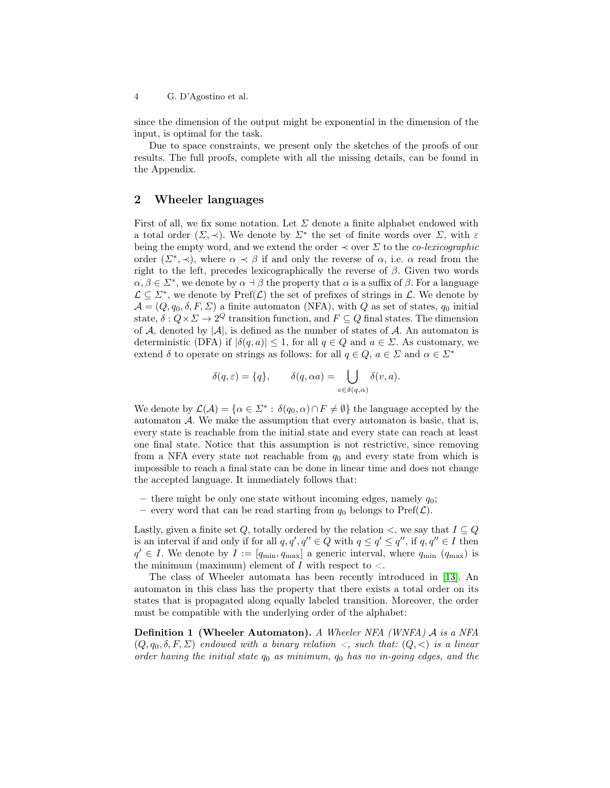since the dimension of the output might be exponential in the dimension of the input, is optimal for the task.

Due to space constraints, we present only the sketches of the proofs of our results. The full proofs, complete with all the missing details, can be found in the Appendix.

### 2 Wheeler languages

First of all, we fix some notation. Let  $\Sigma$  denote a finite alphabet endowed with a total order  $(\Sigma, \prec)$ . We denote by  $\Sigma^*$  the set of finite words over  $\Sigma$ , with  $\varepsilon$ being the empty word, and we extend the order  $\prec$  over  $\Sigma$  to the *co-lexicographic* order  $(\Sigma^*, \prec)$ , where  $\alpha \prec \beta$  if and only the reverse of  $\alpha$ , i.e.  $\alpha$  read from the right to the left, precedes lexicographically the reverse of  $\beta$ . Given two words  $\alpha, \beta \in \Sigma^*$ , we denote by  $\alpha \dashv \beta$  the property that  $\alpha$  is a suffix of  $\beta$ . For a language  $\mathcal{L} \subseteq \mathbb{Z}^*$ , we denote by  $\text{Pref}(\mathcal{L})$  the set of prefixes of strings in  $\mathcal{L}$ . We denote by  $\mathcal{A} = (Q, q_0, \delta, F, \Sigma)$  a finite automaton (NFA), with Q as set of states,  $q_0$  initial state,  $\delta: Q \times \Sigma \to 2^Q$  transition function, and  $F \subseteq Q$  final states. The dimension of A, denoted by  $|\mathcal{A}|$ , is defined as the number of states of A. An automaton is deterministic (DFA) if  $|\delta(q, a)| \leq 1$ , for all  $q \in Q$  and  $a \in \Sigma$ . As customary, we extend  $\delta$  to operate on strings as follows: for all  $q \in Q$ ,  $a \in \Sigma$  and  $\alpha \in \Sigma^*$ 

$$
\delta(q,\varepsilon) = \{q\}, \qquad \delta(q,\alpha a) = \bigcup_{v \in \delta(q,\alpha)} \delta(v,a).
$$

We denote by  $\mathcal{L}(\mathcal{A}) = \{ \alpha \in \mathbb{Z}^* : \delta(q_0, \alpha) \cap F \neq \emptyset \}$  the language accepted by the automaton  $A$ . We make the assumption that every automaton is basic, that is, every state is reachable from the initial state and every state can reach at least one final state. Notice that this assumption is not restrictive, since removing from a NFA every state not reachable from  $q_0$  and every state from which is impossible to reach a final state can be done in linear time and does not change the accepted language. It immediately follows that:

- there might be only one state without incoming edges, namely  $q_0$ ;
- every word that can be read starting from  $q_0$  belongs to Pref( $\mathcal{L}$ ).

Lastly, given a finite set Q, totally ordered by the relation  $\lt$ , we say that  $I \subseteq Q$ is an interval if and only if for all  $q, q', q'' \in Q$  with  $q \le q' \le q''$ , if  $q, q'' \in I$  then  $q' \in I$ . We denote by  $I := [q_{\min}, q_{\max}]$  a generic interval, where  $q_{\min}$   $(q_{\max})$  is the minimum (maximum) element of  $I$  with respect to  $\lt$ .

The class of Wheeler automata has been recently introduced in [\[13\]](#page-23-0). An automaton in this class has the property that there exists a total order on its states that is propagated along equally labeled transition. Moreover, the order must be compatible with the underlying order of the alphabet:

<span id="page-3-0"></span>Definition 1 (Wheeler Automaton). A Wheeler NFA (WNFA) A is a NFA  $(Q, q_0, \delta, F, \Sigma)$  endowed with a binary relation  $\langle q, s \rangle$ , such that:  $(Q, \langle s \rangle)$  is a linear order having the initial state  $q_0$  as minimum,  $q_0$  has no in-going edges, and the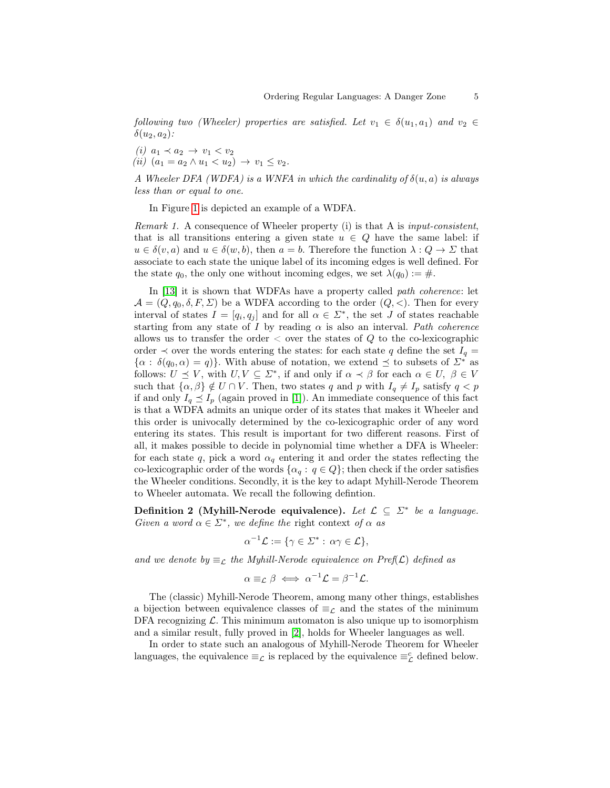following two (Wheeler) properties are satisfied. Let  $v_1 \in \delta(u_1, a_1)$  and  $v_2 \in$  $\delta(u_2, a_2)$ :

(i)  $a_1 \prec a_2 \rightarrow v_1 \prec v_2$ (ii)  $(a_1 = a_2 \wedge u_1 < u_2) \rightarrow v_1 \leq v_2$ .

A Wheeler DFA (WDFA) is a WNFA in which the cardinality of  $\delta(u, a)$  is always less than or equal to one.

In Figure [1](#page-1-0) is depicted an example of a WDFA.

Remark 1. A consequence of Wheeler property (i) is that A is input-consistent, that is all transitions entering a given state  $u \in Q$  have the same label: if  $u \in \delta(v, a)$  and  $u \in \delta(w, b)$ , then  $a = b$ . Therefore the function  $\lambda: Q \to \Sigma$  that associate to each state the unique label of its incoming edges is well defined. For the state  $q_0$ , the only one without incoming edges, we set  $\lambda(q_0) := \#$ .

In [\[13\]](#page-23-0) it is shown that WDFAs have a property called *path coherence*: let  $\mathcal{A} = (Q, q_0, \delta, F, \Sigma)$  be a WDFA according to the order  $(Q, \langle \rangle)$ . Then for every interval of states  $I = [q_i, q_j]$  and for all  $\alpha \in \Sigma^*$ , the set J of states reachable starting from any state of I by reading  $\alpha$  is also an interval. Path coherence allows us to transfer the order  $\lt$  over the states of Q to the co-lexicographic order  $\prec$  over the words entering the states: for each state q define the set  $I_q =$  $\{\alpha : \delta(q_0, \alpha) = q\}$ . With abuse of notation, we extend  $\preceq$  to subsets of  $\Sigma^*$  as follows:  $U \preceq V$ , with  $U, V \subseteq \Sigma^*$ , if and only if  $\alpha \prec \beta$  for each  $\alpha \in U, \ \beta \in V$ such that  $\{\alpha, \beta\} \notin U \cap V$ . Then, two states q and p with  $I_q \neq I_p$  satisfy  $q < p$ if and only  $I_q \preceq I_p$  (again proved in [\[1\]](#page-22-7)). An immediate consequence of this fact is that a WDFA admits an unique order of its states that makes it Wheeler and this order is univocally determined by the co-lexicographic order of any word entering its states. This result is important for two different reasons. First of all, it makes possible to decide in polynomial time whether a DFA is Wheeler: for each state q, pick a word  $\alpha_q$  entering it and order the states reflecting the co-lexicographic order of the words  $\{\alpha_q : q \in Q\}$ ; then check if the order satisfies the Wheeler conditions. Secondly, it is the key to adapt Myhill-Nerode Theorem to Wheeler automata. We recall the following defintion.

Definition 2 (Myhill-Nerode equivalence). Let  $\mathcal{L} \subseteq \mathbb{Z}^*$  be a language. Given a word  $\alpha \in \Sigma^*$ , we define the right context of  $\alpha$  as

$$
\alpha^{-1}\mathcal{L} := \{ \gamma \in \Sigma^* : \alpha \gamma \in \mathcal{L} \},
$$

and we denote by  $\equiv_{\mathcal{L}}$  the Myhill-Nerode equivalence on Pref( $\mathcal{L}$ ) defined as

$$
\alpha \equiv_{\mathcal{L}} \beta \iff \alpha^{-1} \mathcal{L} = \beta^{-1} \mathcal{L}.
$$

The (classic) Myhill-Nerode Theorem, among many other things, establishes a bijection between equivalence classes of  $\equiv_{\mathcal{L}}$  and the states of the minimum DFA recognizing  $\mathcal{L}$ . This minimum automaton is also unique up to isomorphism and a similar result, fully proved in [\[2\]](#page-22-6), holds for Wheeler languages as well.

In order to state such an analogous of Myhill-Nerode Theorem for Wheeler languages, the equivalence  $\equiv_{\mathcal{L}}$  is replaced by the equivalence  $\equiv_{\mathcal{L}}^c$  defined below.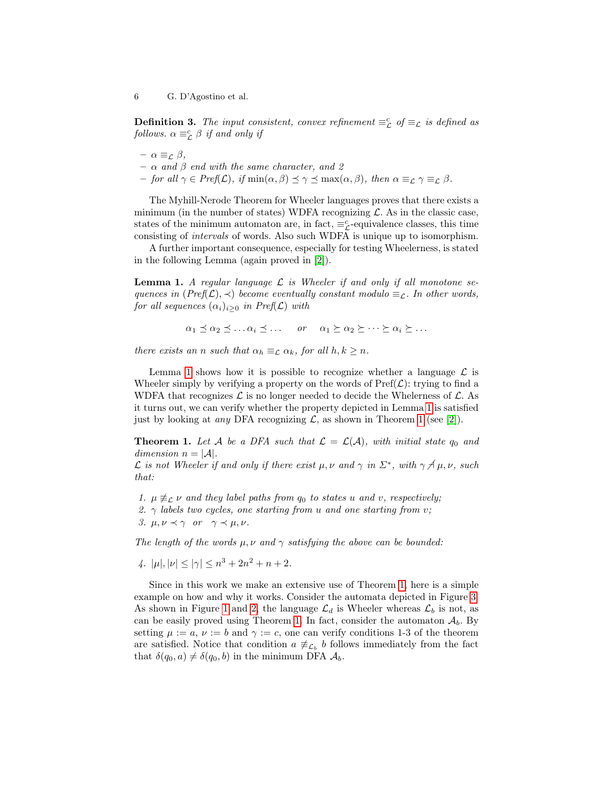**Definition 3.** The input consistent, convex refinement  $\equiv_{\mathcal{L}}^{c}$  of  $\equiv_{\mathcal{L}}$  is defined as follows.  $\alpha \equiv_{\mathcal{L}}^c \beta$  if and only if

- $-\alpha \equiv_{\mathcal{L}} \beta$ ,
- $\alpha$  and  $\beta$  end with the same character, and 2
- for all  $\gamma \in \text{Pref}(\mathcal{L})$ , if  $\min(\alpha, \beta) \leq \gamma \leq \max(\alpha, \beta)$ , then  $\alpha \equiv_{\mathcal{L}} \gamma \equiv_{\mathcal{L}} \beta$ .

The Myhill-Nerode Theorem for Wheeler languages proves that there exists a minimum (in the number of states) WDFA recognizing  $\mathcal{L}$ . As in the classic case, states of the minimum automaton are, in fact,  $\equiv_{\mathcal{L}}^c$ -equivalence classes, this time consisting of intervals of words. Also such WDFA is unique up to isomorphism.

A further important consequence, especially for testing Wheelerness, is stated in the following Lemma (again proved in [\[2\]](#page-22-6)).

<span id="page-5-0"></span>**Lemma 1.** A regular language  $\mathcal{L}$  is Wheeler if and only if all monotone sequences in  $(Pref(\mathcal{L}), \prec)$  become eventually constant modulo  $\equiv_{\mathcal{L}}$ . In other words, for all sequences  $(\alpha_i)_{i>0}$  in Pref( $\mathcal L$ ) with

$$
\alpha_1 \preceq \alpha_2 \preceq \ldots \alpha_i \preceq \ldots \quad \text{or} \quad \alpha_1 \succeq \alpha_2 \succeq \cdots \succeq \alpha_i \succeq \ldots
$$

there exists an n such that  $\alpha_h \equiv_{\mathcal{L}} \alpha_k$ , for all  $h, k \geq n$ .

Lemma [1](#page-5-0) shows how it is possible to recognize whether a language  $\mathcal L$  is Wheeler simply by verifying a property on the words of  $\text{Pref}(\mathcal{L})$ : trying to find a WDFA that recognizes  $\mathcal L$  is no longer needed to decide the Whelerness of  $\mathcal L$ . As it turns out, we can verify whether the property depicted in Lemma [1](#page-5-0) is satisfied just by looking at *any* DFA recognizing  $\mathcal{L}$ , as shown in Theorem [1](#page-5-1) (see [\[2\]](#page-22-6)).

<span id="page-5-1"></span>**Theorem 1.** Let A be a DFA such that  $\mathcal{L} = \mathcal{L}(\mathcal{A})$ , with initial state  $q_0$  and dimension  $n = |\mathcal{A}|$ .

L is not Wheeler if and only if there exist  $\mu, \nu$  and  $\gamma$  in  $\Sigma^*$ , with  $\gamma \not\preceq \mu, \nu$ , such that:

- 1.  $\mu \not\equiv_{\mathcal{L}} \nu$  and they label paths from  $q_0$  to states u and v, respectively;
- 2.  $\gamma$  labels two cycles, one starting from u and one starting from v;
- 3.  $\mu, \nu \prec \gamma$  or  $\gamma \prec \mu, \nu$ .

The length of the words  $\mu, \nu$  and  $\gamma$  satisfying the above can be bounded:

4.  $|\mu|, |\nu| \leq |\gamma| \leq n^3 + 2n^2 + n + 2$ .

Since in this work we make an extensive use of Theorem [1,](#page-5-1) here is a simple example on how and why it works. Consider the automata depicted in Figure [3.](#page-6-0) As shown in Figure [1](#page-1-0) and [2,](#page-2-0) the language  $\mathcal{L}_d$  is Wheeler whereas  $\mathcal{L}_b$  is not, as can be easily proved using Theorem [1.](#page-5-1) In fact, consider the automaton  $A<sub>b</sub>$ . By setting  $\mu := a, \nu := b$  and  $\gamma := c$ , one can verify conditions 1-3 of the theorem are satisfied. Notice that condition  $a \neq_{\mathcal{L}_b} b$  follows immediately from the fact that  $\delta(q_0, a) \neq \delta(q_0, b)$  in the minimum DFA  $A_b$ .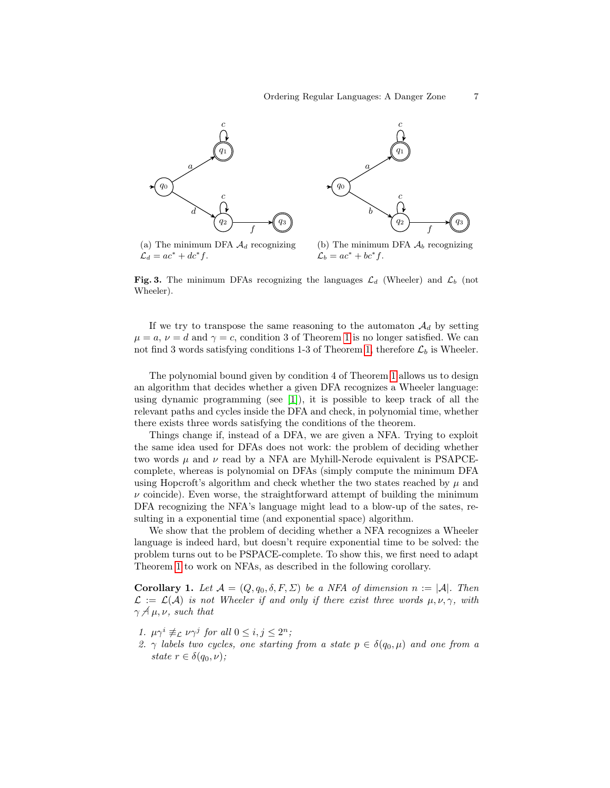

<span id="page-6-0"></span>Fig. 3. The minimum DFAs recognizing the languages  $\mathcal{L}_d$  (Wheeler) and  $\mathcal{L}_b$  (not Wheeler).

If we try to transpose the same reasoning to the automaton  $\mathcal{A}_d$  by setting  $\mu = a, \nu = d$  and  $\gamma = c$ , condition 3 of Theorem [1](#page-5-1) is no longer satisfied. We can not find 3 words satisfying conditions 1-3 of Theorem [1,](#page-5-1) therefore  $\mathcal{L}_b$  is Wheeler.

The polynomial bound given by condition 4 of Theorem [1](#page-5-1) allows us to design an algorithm that decides whether a given DFA recognizes a Wheeler language: using dynamic programming (see [\[1\]](#page-22-7)), it is possible to keep track of all the relevant paths and cycles inside the DFA and check, in polynomial time, whether there exists three words satisfying the conditions of the theorem.

Things change if, instead of a DFA, we are given a NFA. Trying to exploit the same idea used for DFAs does not work: the problem of deciding whether two words  $\mu$  and  $\nu$  read by a NFA are Myhill-Nerode equivalent is PSAPCEcomplete, whereas is polynomial on DFAs (simply compute the minimum DFA using Hopcroft's algorithm and check whether the two states reached by  $\mu$  and  $\nu$  coincide). Even worse, the straightforward attempt of building the minimum DFA recognizing the NFA's language might lead to a blow-up of the sates, resulting in a exponential time (and exponential space) algorithm.

We show that the problem of deciding whether a NFA recognizes a Wheeler language is indeed hard, but doesn't require exponential time to be solved: the problem turns out to be PSPACE-complete. To show this, we first need to adapt Theorem [1](#page-5-1) to work on NFAs, as described in the following corollary.

<span id="page-6-1"></span>Corollary 1. Let  $\mathcal{A} = (Q, q_0, \delta, F, \Sigma)$  be a NFA of dimension  $n := |\mathcal{A}|$ . Then  $\mathcal{L} := \mathcal{L}(\mathcal{A})$  is not Wheeler if and only if there exist three words  $\mu, \nu, \gamma$ , with  $\gamma \not\preceq \mu, \nu$ , such that

- 1.  $\mu \gamma^i \not\equiv_{\mathcal{L}} \nu \gamma^j$  for all  $0 \leq i, j \leq 2^n$ ;
- 2.  $\gamma$  labels two cycles, one starting from a state  $p \in \delta(q_0, \mu)$  and one from a state  $r \in \delta(q_0, \nu)$ ;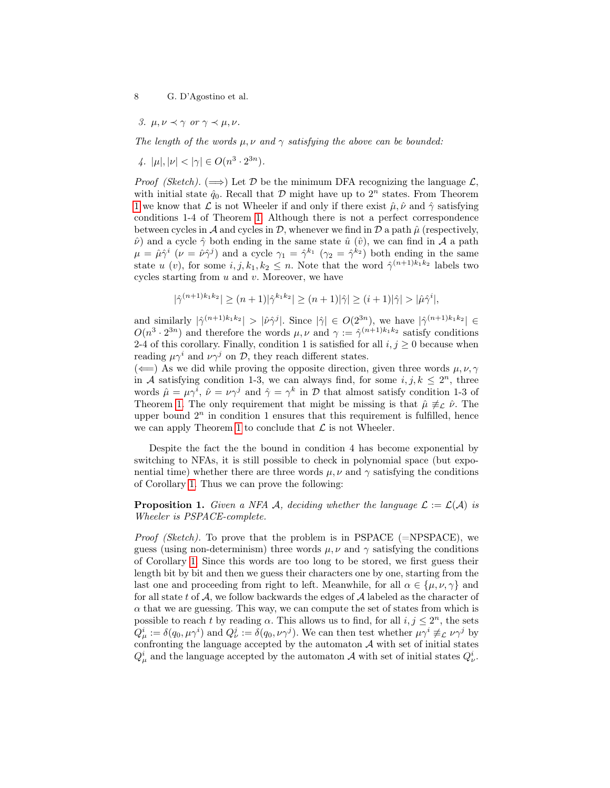3.  $\mu, \nu \prec \gamma$  or  $\gamma \prec \mu, \nu$ .

The length of the words  $\mu, \nu$  and  $\gamma$  satisfying the above can be bounded:

4.  $|\mu|, |\nu| < |\gamma| \in O(n^3 \cdot 2^{3n}).$ 

*Proof (Sketch).* ( $\implies$ ) Let D be the minimum DFA recognizing the language L, with initial state  $\hat{q}_0$ . Recall that  $D$  might have up to  $2^n$  states. From Theorem [1](#page-5-1) we know that  $\mathcal L$  is not Wheeler if and only if there exist  $\hat \mu, \hat \nu$  and  $\hat \gamma$  satisfying conditions 1-4 of Theorem [1.](#page-5-1) Although there is not a perfect correspondence between cycles in A and cycles in D, whenever we find in D a path  $\hat{\mu}$  (respectively,  $\hat{\nu}$  and a cycle  $\hat{\gamma}$  both ending in the same state  $\hat{u}$  ( $\hat{v}$ ), we can find in A a path  $\mu = \hat{\mu}\hat{\gamma}^i$  ( $\nu = \hat{\nu}\hat{\gamma}^j$ ) and a cycle  $\gamma_1 = \hat{\gamma}^{k_1}$  ( $\gamma_2 = \hat{\gamma}^{k_2}$ ) both ending in the same state u (v), for some  $i, j, k_1, k_2 \leq n$ . Note that the word  $\hat{\gamma}^{(n+1)k_1k_2}$  labels two cycles starting from  $u$  and  $v$ . Moreover, we have

$$
|\hat{\gamma}^{(n+1)k_1k_2}| \ge (n+1)|\hat{\gamma}^{k_1k_2}| \ge (n+1)|\hat{\gamma}| \ge (i+1)|\hat{\gamma}| > |\hat{\mu}\hat{\gamma}^i|,
$$

and similarly  $|\hat{\gamma}^{(n+1)k_1k_2}| > |\hat{\nu}\hat{\gamma}^j|$ . Since  $|\hat{\gamma}| \in O(2^{3n})$ , we have  $|\hat{\gamma}^{(n+1)k_1k_2}| \in$  $O(n^3 \cdot 2^{3n})$  and therefore the words  $\mu, \nu$  and  $\gamma := \hat{\gamma}^{(n+1)k_1k_2}$  satisfy conditions 2-4 of this corollary. Finally, condition 1 is satisfied for all  $i, j \geq 0$  because when reading  $\mu \gamma^i$  and  $\nu \gamma^j$  on  $\mathcal{D}$ , they reach different states.

 $(\Leftarrow)$  As we did while proving the opposite direction, given three words  $\mu, \nu, \gamma$ in A satisfying condition 1-3, we can always find, for some  $i, j, k \leq 2^n$ , three words  $\hat{\mu} = \mu \gamma^i$ ,  $\hat{\nu} = \nu \gamma^j$  and  $\hat{\gamma} = \gamma^k$  in  $\mathcal{D}$  that almost satisfy condition 1-3 of Theorem [1.](#page-5-1) The only requirement that might be missing is that  $\hat{\mu} \neq_{\mathcal{L}} \hat{\nu}$ . The upper bound  $2^n$  in condition 1 ensures that this requirement is fulfilled, hence we can apply Theorem [1](#page-5-1) to conclude that  $\mathcal L$  is not Wheeler.

Despite the fact the the bound in condition 4 has become exponential by switching to NFAs, it is still possible to check in polynomial space (but exponential time) whether there are three words  $\mu, \nu$  and  $\gamma$  satisfying the conditions of Corollary [1.](#page-6-1) Thus we can prove the following:

<span id="page-7-0"></span>**Proposition 1.** Given a NFA A, deciding whether the language  $\mathcal{L} := \mathcal{L}(\mathcal{A})$  is Wheeler is PSPACE-complete.

*Proof (Sketch)*. To prove that the problem is in PSPACE ( $=NPSPACE$ ), we guess (using non-determinism) three words  $\mu$ ,  $\nu$  and  $\gamma$  satisfying the conditions of Corollary [1.](#page-6-1) Since this words are too long to be stored, we first guess their length bit by bit and then we guess their characters one by one, starting from the last one and proceeding from right to left. Meanwhile, for all  $\alpha \in {\{\mu, \nu, \gamma\}}$  and for all state t of  $A$ , we follow backwards the edges of  $A$  labeled as the character of  $\alpha$  that we are guessing. This way, we can compute the set of states from which is possible to reach t by reading  $\alpha$ . This allows us to find, for all  $i, j \leq 2^n$ , the sets  $Q^i_\mu := \delta(q_0, \mu \gamma^i)$  and  $Q^j_\nu := \delta(q_0, \nu \gamma^j)$ . We can then test whether  $\mu \gamma^i \not\equiv_{\mathcal{L}} \nu \gamma^j$  by confronting the language accepted by the automaton  $A$  with set of initial states  $Q^i_\mu$  and the language accepted by the automaton A with set of initial states  $Q^i_\nu$ .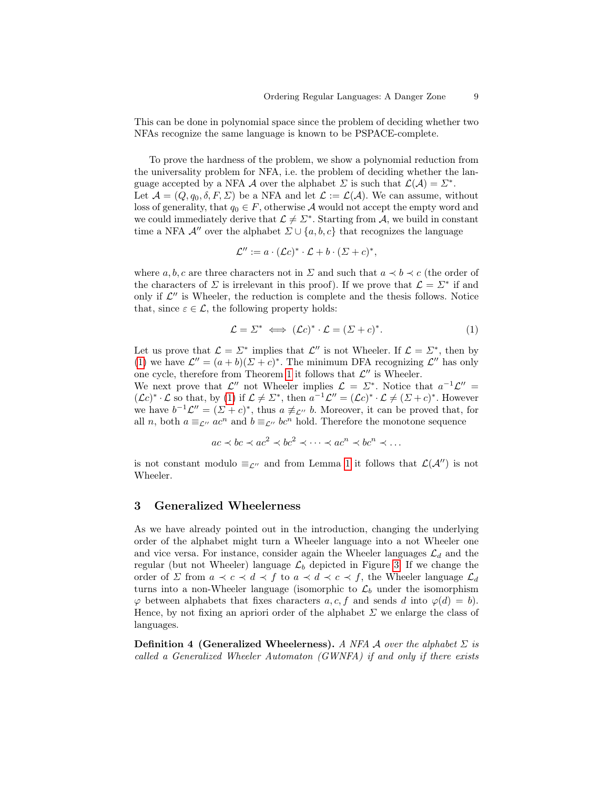This can be done in polynomial space since the problem of deciding whether two NFAs recognize the same language is known to be PSPACE-complete.

To prove the hardness of the problem, we show a polynomial reduction from the universality problem for NFA, i.e. the problem of deciding whether the language accepted by a NFA A over the alphabet  $\Sigma$  is such that  $\mathcal{L}(\mathcal{A}) = \Sigma^*$ . Let  $\mathcal{A} = (Q, q_0, \delta, F, \Sigma)$  be a NFA and let  $\mathcal{L} := \mathcal{L}(\mathcal{A})$ . We can assume, without loss of generality, that  $q_0 \in F$ , otherwise A would not accept the empty word and we could immediately derive that  $\mathcal{L} \neq \mathcal{L}^*$ . Starting from A, we build in constant time a NFA  $\mathcal{A}^{\prime\prime}$  over the alphabet  $\Sigma\cup\{a,b,c\}$  that recognizes the language

$$
\mathcal{L}'' := a \cdot (\mathcal{L}c)^* \cdot \mathcal{L} + b \cdot (\mathcal{L} + c)^*,
$$

where a, b, c are three characters not in  $\Sigma$  and such that  $a \prec b \prec c$  (the order of the characters of  $\Sigma$  is irrelevant in this proof). If we prove that  $\mathcal{L} = \Sigma^*$  if and only if  $\mathcal{L}''$  is Wheeler, the reduction is complete and the thesis follows. Notice that, since  $\varepsilon \in \mathcal{L}$ , the following property holds:

<span id="page-8-1"></span>
$$
\mathcal{L} = \Sigma^* \iff (\mathcal{L}c)^* \cdot \mathcal{L} = (\Sigma + c)^*.
$$
 (1)

Let us prove that  $\mathcal{L} = \Sigma^*$  implies that  $\mathcal{L}''$  is not Wheeler. If  $\mathcal{L} = \Sigma^*$ , then by [\(1\)](#page-8-1) we have  $\mathcal{L}'' = (a+b)(\Sigma + c)^*$ . The minimum DFA recognizing  $\mathcal{L}''$  has only one cycle, therefore from Theorem [1](#page-5-1) it follows that  $\mathcal{L}''$  is Wheeler.

We next prove that  $\mathcal{L}''$  not Wheeler implies  $\mathcal{L} = \Sigma^*$ . Notice that  $a^{-1}\mathcal{L}'' =$  $(\mathcal{L}c)^*\cdot\mathcal{L}$  so that, by [\(1\)](#page-8-1) if  $\mathcal{L}\neq\Sigma^*$ , then  $a^{-1}\mathcal{L}''=(\mathcal{L}c)^*\cdot\mathcal{L}\neq(\Sigma+c)^*$ . However we have  $b^{-1}\mathcal{L}'' = (\mathcal{L} + c)^*$ , thus  $a \neq_{\mathcal{L}''} b$ . Moreover, it can be proved that, for all n, both  $a \equiv_{\mathcal{L}''} ac^n$  and  $b \equiv_{\mathcal{L}''} bc^n$  hold. Therefore the monotone sequence

$$
ac \prec bc \prec ac^2 \prec bc^2 \prec \cdots \prec ac^n \prec bc^n \prec \cdots
$$

is not constant modulo  $\equiv_{\mathcal{L}''}$  and from Lemma [1](#page-5-0) it follows that  $\mathcal{L}(\mathcal{A}'')$  is not Wheeler.

#### <span id="page-8-0"></span>3 Generalized Wheelerness

As we have already pointed out in the introduction, changing the underlying order of the alphabet might turn a Wheeler language into a not Wheeler one and vice versa. For instance, consider again the Wheeler languages  $\mathcal{L}_d$  and the regular (but not Wheeler) language  $\mathcal{L}_b$  depicted in Figure [3.](#page-6-0) If we change the order of  $\Sigma$  from  $a \prec c \prec d \prec f$  to  $a \prec d \prec c \prec f$ , the Wheeler language  $\mathcal{L}_d$ turns into a non-Wheeler language (isomorphic to  $\mathcal{L}_b$  under the isomorphism  $\varphi$  between alphabets that fixes characters a, c, f and sends d into  $\varphi(d) = b$ . Hence, by not fixing an apriori order of the alphabet  $\Sigma$  we enlarge the class of languages.

**Definition 4 (Generalized Wheelerness).** A NFA A over the alphabet  $\Sigma$  is called a Generalized Wheeler Automaton (GWNFA) if and only if there exists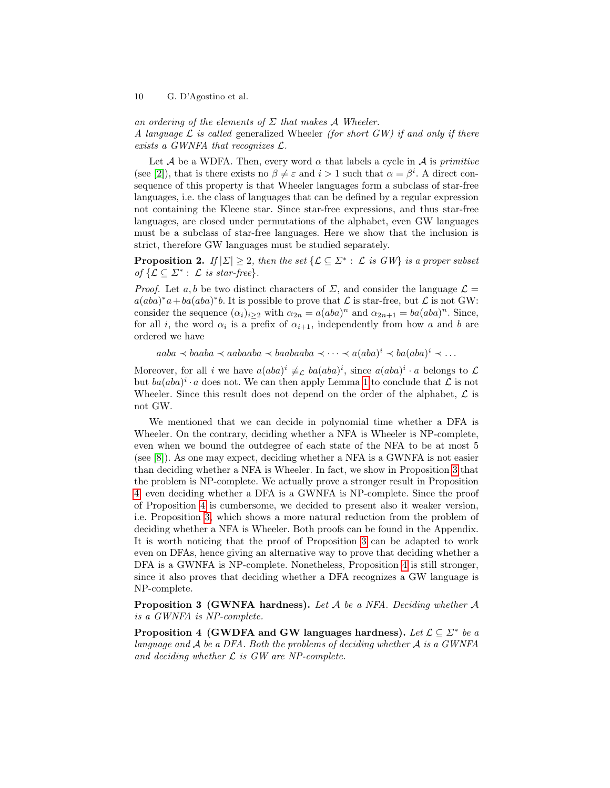an ordering of the elements of  $\Sigma$  that makes A Wheeler. A language  $\mathcal L$  is called generalized Wheeler (for short GW) if and only if there exists a GWNFA that recognizes L.

Let A be a WDFA. Then, every word  $\alpha$  that labels a cycle in A is *primitive* (see [\[2\]](#page-22-6)), that is there exists no  $\beta \neq \varepsilon$  and  $i > 1$  such that  $\alpha = \beta^i$ . A direct consequence of this property is that Wheeler languages form a subclass of star-free languages, i.e. the class of languages that can be defined by a regular expression not containing the Kleene star. Since star-free expressions, and thus star-free languages, are closed under permutations of the alphabet, even GW languages must be a subclass of star-free languages. Here we show that the inclusion is strict, therefore GW languages must be studied separately.

**Proposition 2.** If  $|\Sigma| \geq 2$ , then the set  $\{\mathcal{L} \subseteq \Sigma^* : \mathcal{L}$  is GW} is a proper subset of  $\{\mathcal{L} \subseteq \Sigma^* : \mathcal{L} \text{ is star-free}\}.$ 

*Proof.* Let a, b be two distinct characters of  $\Sigma$ , and consider the language  $\mathcal{L} =$  $a(aba)^*a+ba(aba)^*b$ . It is possible to prove that  $\mathcal L$  is star-free, but  $\mathcal L$  is not GW: consider the sequence  $(\alpha_i)_{i\geq 2}$  with  $\alpha_{2n} = a(aba)^n$  and  $\alpha_{2n+1} = ba(aba)^n$ . Since, for all *i*, the word  $\alpha_i$  is a prefix of  $\alpha_{i+1}$ , independently from how a and b are ordered we have

 $aaba \prec baaba \prec aabaaba \prec baabaaba \prec \cdots \prec a(aba)^i \prec ba(aba)^i \prec \cdots$ 

Moreover, for all i we have  $a(aba)^i \neq_c ba(aba)^i$ , since  $a(aba)^i \cdot a$  belongs to  $\mathcal{L}$ but  $ba(aba)^i \cdot a$  does not. We can then apply Lemma [1](#page-5-0) to conclude that  $\mathcal L$  is not Wheeler. Since this result does not depend on the order of the alphabet,  $\mathcal L$  is not GW.

We mentioned that we can decide in polynomial time whether a DFA is Wheeler. On the contrary, deciding whether a NFA is Wheeler is NP-complete, even when we bound the outdegree of each state of the NFA to be at most 5 (see [\[8\]](#page-22-8)). As one may expect, deciding whether a NFA is a GWNFA is not easier than deciding whether a NFA is Wheeler. In fact, we show in Proposition [3](#page-9-0) that the problem is NP-complete. We actually prove a stronger result in Proposition [4:](#page-9-1) even deciding whether a DFA is a GWNFA is NP-complete. Since the proof of Proposition [4](#page-9-1) is cumbersome, we decided to present also it weaker version, i.e. Proposition [3,](#page-9-0) which shows a more natural reduction from the problem of deciding whether a NFA is Wheeler. Both proofs can be found in the Appendix. It is worth noticing that the proof of Proposition [3](#page-9-0) can be adapted to work even on DFAs, hence giving an alternative way to prove that deciding whether a DFA is a GWNFA is NP-complete. Nonetheless, Proposition [4](#page-9-1) is still stronger, since it also proves that deciding whether a DFA recognizes a GW language is NP-complete.

<span id="page-9-0"></span>**Proposition 3 (GWNFA hardness).** Let  $A$  be a NFA. Deciding whether  $A$ is a GWNFA is NP-complete.

<span id="page-9-1"></span>Proposition 4 (GWDFA and GW languages hardness). Let  $\mathcal{L} \subseteq \mathbb{Z}^*$  be a language and  $A$  be a DFA. Both the problems of deciding whether  $A$  is a GWNFA and deciding whether  $\mathcal L$  is GW are NP-complete.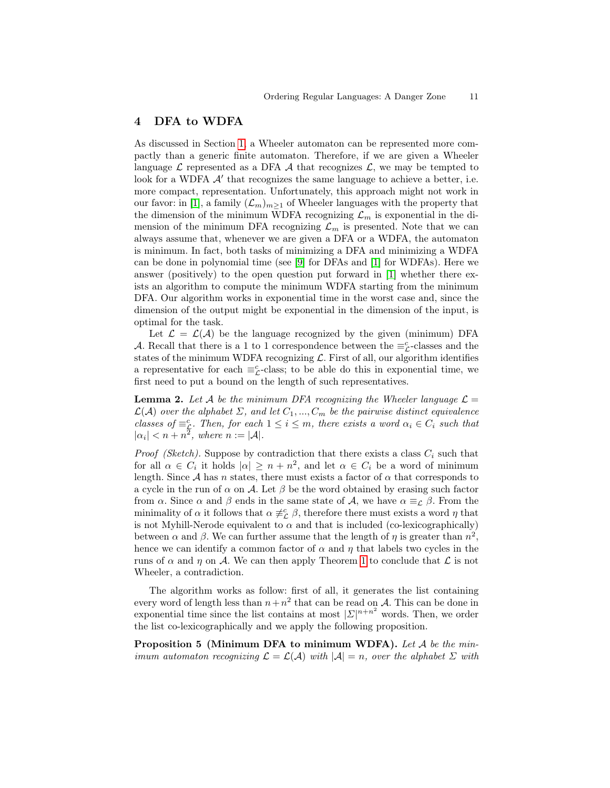## 4 DFA to WDFA

As discussed in Section [1,](#page--1-1) a Wheeler automaton can be represented more compactly than a generic finite automaton. Therefore, if we are given a Wheeler language  $\mathcal L$  represented as a DFA  $\mathcal A$  that recognizes  $\mathcal L$ , we may be tempted to look for a WDFA  $\mathcal{A}'$  that recognizes the same language to achieve a better, i.e. more compact, representation. Unfortunately, this approach might not work in our favor: in [\[1\]](#page-22-7), a family  $(\mathcal{L}_m)_{m>1}$  of Wheeler languages with the property that the dimension of the minimum WDFA recognizing  $\mathcal{L}_m$  is exponential in the dimension of the minimum DFA recognizing  $\mathcal{L}_m$  is presented. Note that we can always assume that, whenever we are given a DFA or a WDFA, the automaton is minimum. In fact, both tasks of minimizing a DFA and minimizing a WDFA can be done in polynomial time (see [\[9\]](#page-22-9) for DFAs and [\[1\]](#page-22-7) for WDFAs). Here we answer (positively) to the open question put forward in [\[1\]](#page-22-7) whether there exists an algorithm to compute the minimum WDFA starting from the minimum DFA. Our algorithm works in exponential time in the worst case and, since the dimension of the output might be exponential in the dimension of the input, is optimal for the task.

Let  $\mathcal{L} = \mathcal{L}(\mathcal{A})$  be the language recognized by the given (minimum) DFA A. Recall that there is a 1 to 1 correspondence between the  $\equiv_{\mathcal{L}}^c$ -classes and the states of the minimum WDFA recognizing  $\mathcal{L}$ . First of all, our algorithm identifies a representative for each  $\equiv_{\mathcal{L}}^c$ -class; to be able do this in exponential time, we first need to put a bound on the length of such representatives.

<span id="page-10-0"></span>**Lemma 2.** Let A be the minimum DFA recognizing the Wheeler language  $\mathcal{L} =$  $\mathcal{L}(\mathcal{A})$  over the alphabet  $\Sigma$ , and let  $C_1, ..., C_m$  be the pairwise distinct equivalence classes of  $\equiv_{\mathcal{L}}^c$ . Then, for each  $1 \leq i \leq m$ , there exists a word  $\alpha_i \in C_i$  such that  $|\alpha_i| < n + n^2$ , where  $n := |\mathcal{A}|$ .

*Proof (Sketch)*. Suppose by contradiction that there exists a class  $C_i$  such that for all  $\alpha \in C_i$  it holds  $|\alpha| \geq n + n^2$ , and let  $\alpha \in C_i$  be a word of minimum length. Since  $A$  has n states, there must exists a factor of  $\alpha$  that corresponds to a cycle in the run of  $\alpha$  on A. Let  $\beta$  be the word obtained by erasing such factor from  $\alpha$ . Since  $\alpha$  and  $\beta$  ends in the same state of  $\mathcal{A}$ , we have  $\alpha \equiv_{\mathcal{L}} \beta$ . From the minimality of  $\alpha$  it follows that  $\alpha \neq^c_{\mathcal{L}} \beta$ , therefore there must exists a word  $\eta$  that is not Myhill-Nerode equivalent to  $\alpha$  and that is included (co-lexicographically) between  $\alpha$  and  $\beta$ . We can further assume that the length of  $\eta$  is greater than  $n^2$ , hence we can identify a common factor of  $\alpha$  and  $\eta$  that labels two cycles in the runs of  $\alpha$  and  $\eta$  on A. We can then apply Theorem [1](#page-5-1) to conclude that  $\mathcal L$  is not Wheeler, a contradiction.

The algorithm works as follow: first of all, it generates the list containing every word of length less than  $n+n^2$  that can be read on A. This can be done in exponential time since the list contains at most  $|\mathcal{L}|^{n+n^2}$  words. Then, we order the list co-lexicographically and we apply the following proposition.

<span id="page-10-1"></span>**Proposition 5 (Minimum DFA to minimum WDFA).** Let  $A$  be the minimum automaton recognizing  $\mathcal{L} = \mathcal{L}(\mathcal{A})$  with  $|\mathcal{A}| = n$ , over the alphabet  $\Sigma$  with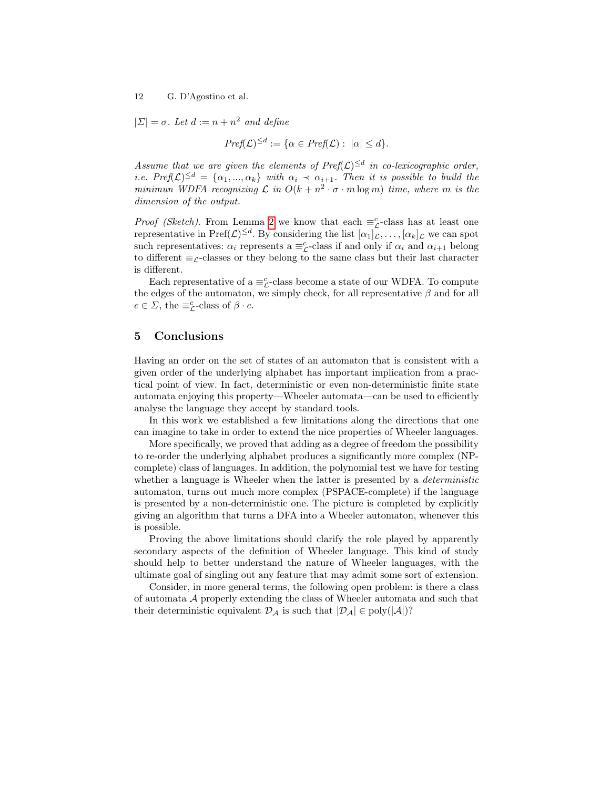$|\Sigma| = \sigma$ . Let  $d := n + n^2$  and define

$$
Pref(\mathcal{L})^{\leq d} := \{ \alpha \in Pref(\mathcal{L}) : |\alpha| \leq d \}.
$$

Assume that we are given the elements of  $\text{Pref}(\mathcal{L})^{\leq d}$  in co-lexicographic order, *i.e.*  $Pref(\mathcal{L})^{\leq d} = {\alpha_1, ..., \alpha_k}$  with  $\alpha_i \prec \alpha_{i+1}$ . Then it is possible to build the minimun WDFA recognizing  $\mathcal L$  in  $O(k + n^2 \cdot \sigma \cdot m \log m)$  time, where m is the dimension of the output.

*Proof (Sketch)*. From Lemma [2](#page-10-0) we know that each  $\equiv_{\mathcal{L}}^c$ -class has at least one representative in  $\text{Pref}(\mathcal{L})^{\leq d}$ . By considering the list  $[\alpha_1]_{\mathcal{L}}, \ldots, [\alpha_k]_{\mathcal{L}}$  we can spot such representatives:  $\alpha_i$  represents a  $\equiv_{\mathcal{L}}^c$ -class if and only if  $\alpha_i$  and  $\alpha_{i+1}$  belong to different  $\equiv_{\mathcal{L}}$ -classes or they belong to the same class but their last character is different.

Each representative of a  $\equiv_{\mathcal{L}}^c$ -class become a state of our WDFA. To compute the edges of the automaton, we simply check, for all representative  $\beta$  and for all  $c \in \Sigma$ , the  $\equiv_{\mathcal{L}}^c$ -class of  $\beta \cdot c$ .

### 5 Conclusions

Having an order on the set of states of an automaton that is consistent with a given order of the underlying alphabet has important implication from a practical point of view. In fact, deterministic or even non-deterministic finite state automata enjoying this property—Wheeler automata—can be used to efficiently analyse the language they accept by standard tools.

In this work we established a few limitations along the directions that one can imagine to take in order to extend the nice properties of Wheeler languages.

More specifically, we proved that adding as a degree of freedom the possibility to re-order the underlying alphabet produces a significantly more complex (NPcomplete) class of languages. In addition, the polynomial test we have for testing whether a language is Wheeler when the latter is presented by a *deterministic* automaton, turns out much more complex (PSPACE-complete) if the language is presented by a non-deterministic one. The picture is completed by explicitly giving an algorithm that turns a DFA into a Wheeler automaton, whenever this is possible.

Proving the above limitations should clarify the role played by apparently secondary aspects of the definition of Wheeler language. This kind of study should help to better understand the nature of Wheeler languages, with the ultimate goal of singling out any feature that may admit some sort of extension.

Consider, in more general terms, the following open problem: is there a class of automata A properly extending the class of Wheeler automata and such that their deterministic equivalent  $\mathcal{D}_{\mathcal{A}}$  is such that  $|\mathcal{D}_{\mathcal{A}}| \in \text{poly}(|\mathcal{A}|)$ ?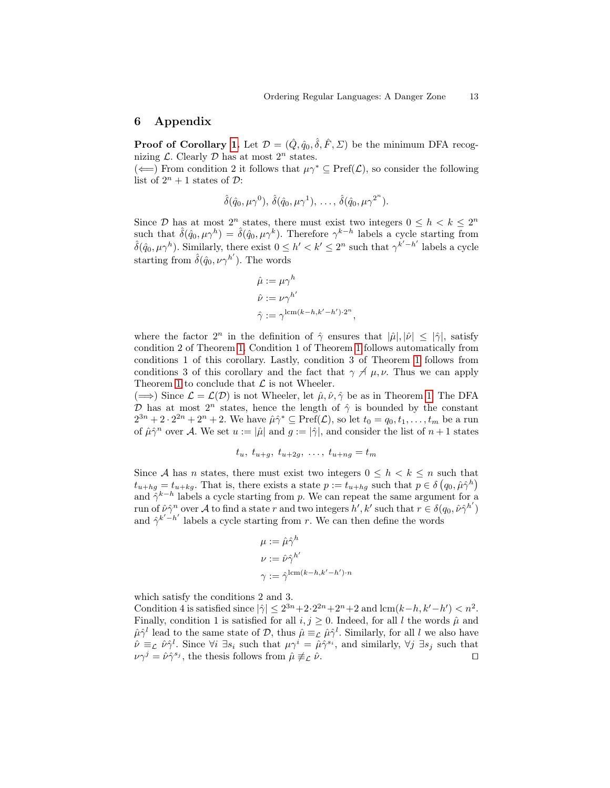### 6 Appendix

**Proof of Corollary [1.](#page-6-1)** Let  $\mathcal{D} = (\hat{Q}, \hat{q}_0, \hat{\delta}, \hat{F}, \Sigma)$  be the minimum DFA recognizing  $\mathcal{L}$ . Clearly  $\mathcal{D}$  has at most  $2^n$  states.

(←) From condition 2 it follows that  $\mu \gamma^* \subseteq \text{Pref}(\mathcal{L})$ , so consider the following list of  $2^n + 1$  states of  $\mathcal{D}$ :

$$
\hat{\delta}(\hat{q}_0,\mu\gamma^0),\,\hat{\delta}(\hat{q}_0,\mu\gamma^1),\,\ldots,\,\hat{\delta}(\hat{q}_0,\mu\gamma^{2^n}).
$$

Since  $\mathcal{D}$  has at most  $2^n$  states, there must exist two integers  $0 \leq h \leq k \leq 2^n$ such that  $\hat{\delta}(\hat{q}_0, \mu \gamma^h) = \hat{\delta}(\hat{q}_0, \mu \gamma^k)$ . Therefore  $\gamma^{k-h}$  labels a cycle starting from  $\hat{\delta}(q_0, \mu \gamma^h)$ . Similarly, there exist  $0 \leq h' < k' \leq 2^n$  such that  $\gamma^{k'-h'}$  labels a cycle starting from  $\hat{\delta}(\hat{q}_0, \nu \gamma^{h'})$ . The words

$$
\hat{\mu} := \mu \gamma^h
$$
  

$$
\hat{\nu} := \nu \gamma^{h'}
$$
  

$$
\hat{\gamma} := \gamma^{\text{lcm}(k-h,k'-h') \cdot 2^n},
$$

where the factor  $2^n$  in the definition of  $\hat{\gamma}$  ensures that  $|\hat{\mu}|, |\hat{\nu}| \leq |\hat{\gamma}|$ , satisfy condition 2 of Theorem [1.](#page-5-1) Condition 1 of Theorem [1](#page-5-1) follows automatically from conditions 1 of this corollary. Lastly, condition 3 of Theorem [1](#page-5-1) follows from conditions 3 of this corollary and the fact that  $\gamma \not\perp \mu$ ,  $\nu$ . Thus we can apply Theorem [1](#page-5-1) to conclude that  $\mathcal L$  is not Wheeler.

 $(\Longrightarrow)$  Since  $\mathcal{L} = \mathcal{L}(\mathcal{D})$  is not Wheeler, let  $\hat{\mu}, \hat{\nu}, \hat{\gamma}$  be as in Theorem [1.](#page-5-1) The DFA D has at most  $2^n$  states, hence the length of  $\hat{\gamma}$  is bounded by the constant  $2^{3n}+2\cdot 2^{2n}+2^n+2$ . We have  $\hat{\mu}\hat{\gamma}^*\subseteq \text{Pref}(\mathcal{L}),$  so let  $t_0=q_0, t_1,\ldots,t_m$  be a run of  $\hat{\mu}\hat{\gamma}^n$  over A. We set  $u := |\hat{\mu}|$  and  $g := |\hat{\gamma}|$ , and consider the list of  $n+1$  states

$$
t_u, t_{u+g}, t_{u+2g}, \ldots, t_{u+ng} = t_m
$$

Since A has n states, there must exist two integers  $0 \leq h \leq k \leq n$  such that  $t_{u+hg} = t_{u+kg}$ . That is, there exists a state  $p := t_{u+hg}$  such that  $p \in \delta(q_0, \hat{\mu}\hat{\gamma}^h)$ and  $\hat{\gamma}^{k-h}$  labels a cycle starting from p. We can repeat the same argument for a run of  $\hat{\nu}\hat{\gamma}^n$  over A to find a state r and two integers  $h', k'$  such that  $r \in \delta(q_0, \hat{\nu}\hat{\gamma}^{h'})$ and  $\hat{\gamma}^{k'-h'}$  labels a cycle starting from r. We can then define the words

$$
\mu := \hat{\mu}\hat{\gamma}^h
$$
  
\n
$$
\nu := \hat{\nu}\hat{\gamma}^{h'}
$$
  
\n
$$
\gamma := \hat{\gamma}^{lcm(k-h,k'-h')\cdot n}
$$

which satisfy the conditions 2 and 3.

Condition 4 is satisfied since  $|\hat{\gamma}| \leq 2^{3n} + 2 \cdot 2^{2n} + 2^n + 2$  and  $\operatorname{lcm}(k-h, k'-h') < n^2$ . Finally, condition 1 is satisfied for all  $i, j \geq 0$ . Indeed, for all l the words  $\hat{\mu}$  and  $\hat{\mu}\hat{\gamma}^l$  lead to the same state of  $\mathcal{D}$ , thus  $\hat{\mu} \equiv_{\mathcal{L}} \hat{\mu}\hat{\gamma}^l$ . Similarly, for all l we also have  $\hat{\nu} \equiv_{\mathcal{L}} \hat{\nu} \hat{\gamma}^l$ . Since  $\forall i \exists s_i$  such that  $\mu \gamma^i = \hat{\mu} \hat{\gamma}^{s_i}$ , and similarly,  $\forall j \exists s_j$  such that  $\nu \gamma^j = \hat{\nu} \hat{\gamma}^{s_j}$ , the thesis follows from  $\hat{\mu} \not\equiv_{\mathcal{L}} \hat{\nu}$ .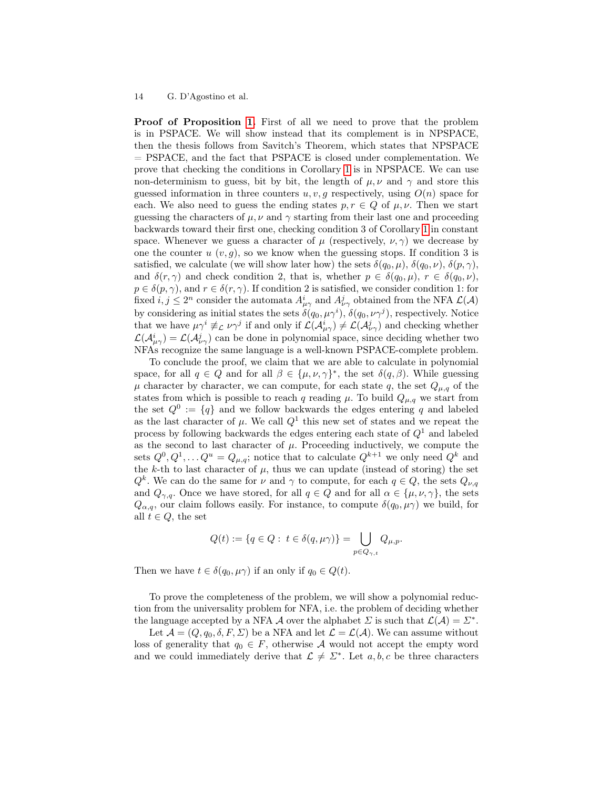Proof of Proposition [1.](#page-7-0) First of all we need to prove that the problem is in PSPACE. We will show instead that its complement is in NPSPACE, then the thesis follows from Savitch's Theorem, which states that NPSPACE = PSPACE, and the fact that PSPACE is closed under complementation. We prove that checking the conditions in Corollary [1](#page-6-1) is in NPSPACE. We can use non-determinism to guess, bit by bit, the length of  $\mu, \nu$  and  $\gamma$  and store this guessed information in three counters  $u, v, g$  respectively, using  $O(n)$  space for each. We also need to guess the ending states  $p, r \in Q$  of  $\mu, \nu$ . Then we start guessing the characters of  $\mu, \nu$  and  $\gamma$  starting from their last one and proceeding backwards toward their first one, checking condition 3 of Corollary [1](#page-6-1) in constant space. Whenever we guess a character of  $\mu$  (respectively,  $\nu, \gamma$ ) we decrease by one the counter  $u(v, q)$ , so we know when the guessing stops. If condition 3 is satisfied, we calculate (we will show later how) the sets  $\delta(q_0, \mu)$ ,  $\delta(q_0, \nu)$ ,  $\delta(p, \gamma)$ , and  $\delta(r, \gamma)$  and check condition 2, that is, whether  $p \in \delta(q_0, \mu)$ ,  $r \in \delta(q_0, \nu)$ ,  $p \in \delta(p, \gamma)$ , and  $r \in \delta(r, \gamma)$ . If condition 2 is satisfied, we consider condition 1: for fixed  $i, j \leq 2^n$  consider the automata  $A^i_{\mu\gamma}$  and  $A^j_{\nu\gamma}$  obtained from the NFA  $\mathcal{L}(\mathcal{A})$ by considering as initial states the sets  $\delta(q_0, \mu \gamma^i), \delta(q_0, \nu \gamma^j)$ , respectively. Notice that we have  $\mu \gamma^i \not\equiv_L \nu \gamma^j$  if and only if  $\mathcal{L}(\mathcal{A}_{\mu\gamma}^i) \neq \mathcal{L}(\mathcal{A}_{\nu\gamma}^j)$  and checking whether  $\mathcal{L}(\mathcal{A}_{\mu\gamma}^i)=\mathcal{L}(\mathcal{A}_{\nu\gamma}^j)$  can be done in polynomial space, since deciding whether two NFAs recognize the same language is a well-known PSPACE-complete problem.

To conclude the proof, we claim that we are able to calculate in polynomial space, for all  $q \in Q$  and for all  $\beta \in {\{\mu, \nu, \gamma\}}^*$ , the set  $\delta(q, \beta)$ . While guessing  $\mu$  character by character, we can compute, for each state q, the set  $Q_{\mu,q}$  of the states from which is possible to reach q reading  $\mu$ . To build  $Q_{\mu,q}$  we start from the set  $Q^0 := \{q\}$  and we follow backwards the edges entering q and labeled as the last character of  $\mu$ . We call  $Q^1$  this new set of states and we repeat the process by following backwards the edges entering each state of  $Q<sup>1</sup>$  and labeled as the second to last character of  $\mu$ . Proceeding inductively, we compute the sets  $Q^0, Q^1, \ldots Q^u = Q_{\mu,q}$ ; notice that to calculate  $Q^{k+1}$  we only need  $Q^k$  and the k-th to last character of  $\mu$ , thus we can update (instead of storing) the set  $Q^k$ . We can do the same for  $\nu$  and  $\gamma$  to compute, for each  $q \in Q$ , the sets  $Q_{\nu,q}$ and  $Q_{\gamma,q}$ . Once we have stored, for all  $q \in Q$  and for all  $\alpha \in {\{\mu,\nu,\gamma\}}$ , the sets  $Q_{\alpha,q}$ , our claim follows easily. For instance, to compute  $\delta(q_0,\mu\gamma)$  we build, for all  $t \in Q$ , the set

$$
Q(t) := \{ q \in Q : t \in \delta(q, \mu\gamma) \} = \bigcup_{p \in Q_{\gamma,t}} Q_{\mu,p}.
$$

Then we have  $t \in \delta(q_0, \mu \gamma)$  if an only if  $q_0 \in Q(t)$ .

To prove the completeness of the problem, we will show a polynomial reduction from the universality problem for NFA, i.e. the problem of deciding whether the language accepted by a NFA A over the alphabet  $\Sigma$  is such that  $\mathcal{L}(\mathcal{A}) = \Sigma^*$ .

Let  $\mathcal{A} = (Q, q_0, \delta, F, \Sigma)$  be a NFA and let  $\mathcal{L} = \mathcal{L}(\mathcal{A})$ . We can assume without loss of generality that  $q_0 \in F$ , otherwise A would not accept the empty word and we could immediately derive that  $\mathcal{L} \neq \Sigma^*$ . Let  $a, b, c$  be three characters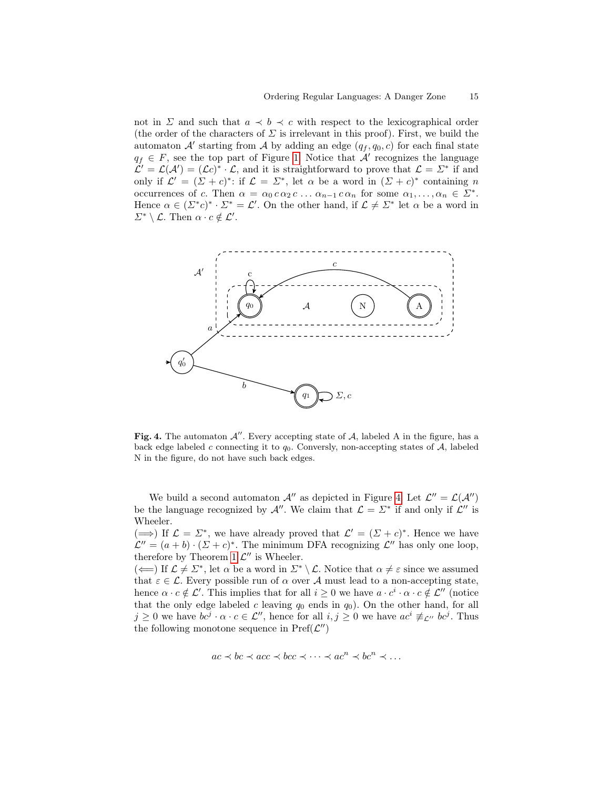not in  $\Sigma$  and such that  $a \prec b \prec c$  with respect to the lexicographical order (the order of the characters of  $\Sigma$  is irrelevant in this proof). First, we build the automaton  $\mathcal{A}'$  starting from  $\mathcal{A}$  by adding an edge  $(q_f, q_0, c)$  for each final state  $q_f \in F$ , see the top part of Figure [1.](#page-7-0) Notice that  $\mathcal{A}'$  recognizes the language  $\mathcal{L}' = \mathcal{L}(\mathcal{A}') = (\mathcal{L}c)^* \cdot \mathcal{L}$ , and it is straightforward to prove that  $\mathcal{L} = \Sigma^*$  if and only if  $\mathcal{L}' = (\Sigma + c)^*$ : if  $\mathcal{L} = \Sigma^*$ , let  $\alpha$  be a word in  $(\Sigma + c)^*$  containing n occurrences of c. Then  $\alpha = \alpha_0 c \alpha_2 c \ldots \alpha_{n-1} c \alpha_n$  for some  $\alpha_1, \ldots, \alpha_n \in \Sigma^*$ . Hence  $\alpha \in (\Sigma^* c)^* \cdot \Sigma^* = \mathcal{L}'$ . On the other hand, if  $\mathcal{L} \neq \Sigma^*$  let  $\alpha$  be a word in  $\Sigma^* \setminus \mathcal{L}$ . Then  $\alpha \cdot c \notin \mathcal{L}'$ .



<span id="page-14-0"></span>Fig. 4. The automaton  $\mathcal{A}''$ . Every accepting state of  $\mathcal{A}$ , labeled A in the figure, has a back edge labeled  $c$  connecting it to  $q_0$ . Conversly, non-accepting states of  $A$ , labeled N in the figure, do not have such back edges.

We build a second automaton  $\mathcal{A}''$  as depicted in Figure [4.](#page-14-0) Let  $\mathcal{L}'' = \mathcal{L}(\mathcal{A}'')$ be the language recognized by  $\mathcal{A}''$ . We claim that  $\mathcal{L} = \Sigma^*$  if and only if  $\mathcal{L}''$  is Wheeler.

 $(\Longrightarrow)$  If  $\mathcal{L} = \Sigma^*$ , we have already proved that  $\mathcal{L}' = (\Sigma + c)^*$ . Hence we have  $\mathcal{L}'' = (a + b) \cdot (\Sigma + c)^*$ . The minimum DFA recognizing  $\mathcal{L}''$  has only one loop, therefore by Theorem [1](#page-5-1)  $\mathcal{L}''$  is Wheeler.

 $(\Leftarrow)$  If  $\mathcal{L} \neq \Sigma^*$ , let  $\alpha$  be a word in  $\Sigma^* \setminus \mathcal{L}$ . Notice that  $\alpha \neq \varepsilon$  since we assumed that  $\varepsilon \in \mathcal{L}$ . Every possible run of  $\alpha$  over A must lead to a non-accepting state, hence  $\alpha \cdot c \notin \mathcal{L}'$ . This implies that for all  $i \geq 0$  we have  $a \cdot c^i \cdot \alpha \cdot c \notin \mathcal{L}''$  (notice that the only edge labeled c leaving  $q_0$  ends in  $q_0$ ). On the other hand, for all  $j \geq 0$  we have  $bc^j \cdot \alpha \cdot c \in \mathcal{L}''$ , hence for all  $i, j \geq 0$  we have  $ac^i \not\equiv_{\mathcal{L}''} bc^j$ . Thus the following monotone sequence in  $\text{Pref}(\mathcal{L}'')$ 

$$
ac \prec bc \prec acc \prec bcc \prec \cdots \prec ac^n \prec bc^n \prec \cdots
$$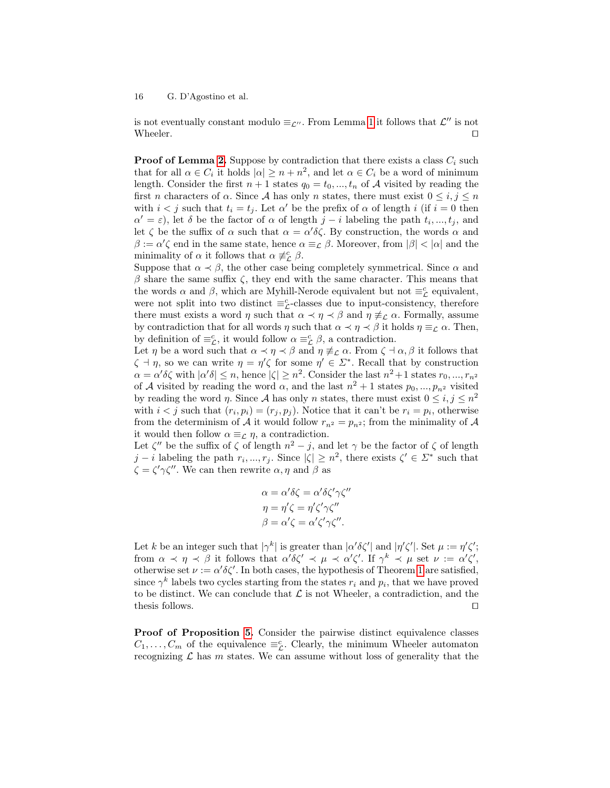is not eventually constant modulo  $\equiv_{\mathcal{L}''}$ . From Lemma [1](#page-5-0) it follows that  $\mathcal{L}''$  is not Wheeler.  $\Box$ 

**Proof of Lemma [2.](#page-10-0)** Suppose by contradiction that there exists a class  $C_i$  such that for all  $\alpha \in C_i$  it holds  $|\alpha| \geq n + n^2$ , and let  $\alpha \in C_i$  be a word of minimum length. Consider the first  $n + 1$  states  $q_0 = t_0, ..., t_n$  of A visited by reading the first n characters of  $\alpha$ . Since A has only n states, there must exist  $0 \leq i, j \leq n$ with  $i < j$  such that  $t_i = t_j$ . Let  $\alpha'$  be the prefix of  $\alpha$  of length i (if  $i = 0$  then  $\alpha' = \varepsilon$ ), let  $\delta$  be the factor of  $\alpha$  of length  $j - i$  labeling the path  $t_i, ..., t_j$ , and let  $\zeta$  be the suffix of  $\alpha$  such that  $\alpha = \alpha' \delta \zeta$ . By construction, the words  $\alpha$  and  $\beta := \alpha' \zeta$  end in the same state, hence  $\alpha \equiv_{\mathcal{L}} \beta$ . Moreover, from  $|\beta| < |\alpha|$  and the minimality of  $\alpha$  it follows that  $\alpha \neq_{\mathcal{L}}^c \beta$ .

Suppose that  $\alpha \prec \beta$ , the other case being completely symmetrical. Since  $\alpha$  and  $β$  share the same suffix  $ζ$ , they end with the same character. This means that the words  $\alpha$  and  $\beta$ , which are Myhill-Nerode equivalent but not  $\equiv_{\mathcal{L}}^c$  equivalent, were not split into two distinct  $\equiv_{\mathcal{L}}^c$ -classes due to input-consistency, therefore there must exists a word  $\eta$  such that  $\alpha \prec \eta \prec \beta$  and  $\eta \not\equiv_{\mathcal{L}} \alpha$ . Formally, assume by contradiction that for all words  $\eta$  such that  $\alpha \prec \eta \prec \beta$  it holds  $\eta \equiv_{\mathcal{L}} \alpha$ . Then, by definition of  $\equiv_{\mathcal{L}}^c$ , it would follow  $\alpha \equiv_{\mathcal{L}}^c \beta$ , a contradiction.

Let  $\eta$  be a word such that  $\alpha \prec \eta \prec \beta$  and  $\eta \not\equiv_{\mathcal{L}} \alpha$ . From  $\zeta \prec \alpha$ ,  $\beta$  it follows that  $\zeta \dashv \eta$ , so we can write  $\eta = \eta' \zeta$  for some  $\eta' \in \Sigma^*$ . Recall that by construction  $\alpha = \alpha' \delta \zeta$  with  $|\alpha' \delta| \leq n$ , hence  $|\zeta| \geq n^2$ . Consider the last  $n^2 + 1$  states  $r_0, ..., r_{n^2}$ of A visited by reading the word  $\alpha$ , and the last  $n^2 + 1$  states  $p_0, ..., p_{n^2}$  visited by reading the word  $\eta$ . Since A has only n states, there must exist  $0 \leq i, j \leq n^2$ with  $i < j$  such that  $(r_i, p_i) = (r_j, p_j)$ . Notice that it can't be  $r_i = p_i$ , otherwise from the determinism of A it would follow  $r_{n^2} = p_{n^2}$ ; from the minimality of A it would then follow  $\alpha \equiv_{\mathcal{L}} \eta$ , a contradiction.

Let  $\zeta''$  be the suffix of  $\zeta$  of length  $n^2 - j$ , and let  $\gamma$  be the factor of  $\zeta$  of length j – i labeling the path  $r_i, ..., r_j$ . Since  $|\zeta| \geq n^2$ , there exists  $\zeta' \in \Sigma^*$  such that  $\zeta = \zeta' \gamma \zeta''$ . We can then rewrite  $\alpha, \eta$  and  $\beta$  as

$$
\alpha = \alpha' \delta \zeta = \alpha' \delta \zeta' \gamma \zeta''
$$

$$
\eta = \eta' \zeta = \eta' \zeta' \gamma \zeta''
$$

$$
\beta = \alpha' \zeta = \alpha' \zeta' \gamma \zeta''.
$$

Let k be an integer such that  $|\gamma^k|$  is greater than  $|\alpha'\delta\zeta'|$  and  $|\eta'\zeta'|$ . Set  $\mu := \eta'\zeta';$ from  $\alpha \prec \eta \prec \beta$  it follows that  $\alpha' \delta \zeta' \prec \mu \prec \alpha' \zeta'$ . If  $\gamma^k \prec \mu$  set  $\nu := \alpha' \zeta'$ , otherwise set  $\nu := \alpha' \delta \zeta'$ . In both cases, the hypothesis of Theorem [1](#page-5-1) are satisfied, since  $\gamma^k$  labels two cycles starting from the states  $r_i$  and  $p_i$ , that we have proved to be distinct. We can conclude that  $\mathcal L$  is not Wheeler, a contradiction, and the thesis follows.  $\Box$ 

Proof of Proposition [5.](#page-10-1) Consider the pairwise distinct equivalence classes  $C_1, \ldots, C_m$  of the equivalence  $\equiv_{\mathcal{L}}^c$ . Clearly, the minimum Wheeler automaton recognizing  $\mathcal L$  has m states. We can assume without loss of generality that the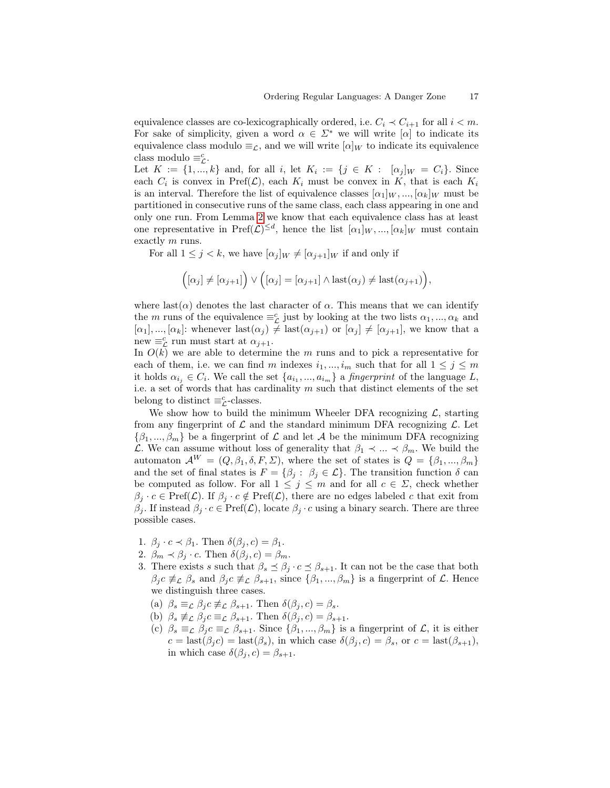equivalence classes are co-lexicographically ordered, i.e.  $C_i \prec C_{i+1}$  for all  $i < m$ . For sake of simplicity, given a word  $\alpha \in \Sigma^*$  we will write  $[\alpha]$  to indicate its equivalence class modulo  $\equiv_{\mathcal{L}}$ , and we will write  $[\alpha]_W$  to indicate its equivalence class modulo  $\equiv_{\mathcal{L}}^c$ .

Let  $K := \{1, ..., k\}$  and, for all i, let  $K_i := \{j \in K : [\alpha_j]_W = C_i\}$ . Since each  $C_i$  is convex in  $\text{Pref}(\mathcal{L})$ , each  $K_i$  must be convex in K, that is each  $K_i$ is an interval. Therefore the list of equivalence classes  $[\alpha_1]_W$ , ...,  $[\alpha_k]_W$  must be partitioned in consecutive runs of the same class, each class appearing in one and only one run. From Lemma [2](#page-10-0) we know that each equivalence class has at least one representative in  $\text{Pref}(\mathcal{L})^{\leq d}$ , hence the list  $[\alpha_1]_W, ..., [\alpha_k]_W$  must contain exactly m runs.

For all  $1 \leq j \leq k$ , we have  $[\alpha_j]_W \neq [\alpha_{j+1}]_W$  if and only if

$$
([\alpha_j] \neq [\alpha_{j+1}]) \vee ([\alpha_j] = [\alpha_{j+1}] \wedge \text{last}(\alpha_j) \neq \text{last}(\alpha_{j+1})),
$$

where last( $\alpha$ ) denotes the last character of  $\alpha$ . This means that we can identify the m runs of the equivalence  $\equiv_{\mathcal{L}}^c$  just by looking at the two lists  $\alpha_1, ..., \alpha_k$  and  $[\alpha_1], ..., [\alpha_k]$ : whenever  $\text{last}(\alpha_j) \neq \text{last}(\alpha_{j+1})$  or  $[\alpha_j] \neq [\alpha_{j+1}]$ , we know that a new  $\equiv_{\mathcal{L}}^c$  run must start at  $\alpha_{j+1}$ .

In  $O(k)$  we are able to determine the m runs and to pick a representative for each of them, i.e. we can find m indexes  $i_1, ..., i_m$  such that for all  $1 \leq j \leq m$ it holds  $\alpha_{i_j} \in C_i$ . We call the set  $\{a_{i_1},...,a_{i_m}\}\$ a fingerprint of the language L, i.e. a set of words that has cardinality  $m$  such that distinct elements of the set belong to distinct  $\equiv_{\mathcal{L}}^c$ -classes.

We show how to build the minimum Wheeler DFA recognizing  $\mathcal{L}$ , starting from any fingerprint of  $\mathcal L$  and the standard minimum DFA recognizing  $\mathcal L$ . Let  $\{\beta_1, ..., \beta_m\}$  be a fingerprint of  $\mathcal L$  and let  $\mathcal A$  be the minimum DFA recognizing L. We can assume without loss of generality that  $\beta_1 \prec ... \prec \beta_m$ . We build the automaton  $\mathcal{A}^W = (Q, \beta_1, \delta, F, \Sigma)$ , where the set of states is  $Q = {\beta_1, ..., \beta_m}$ and the set of final states is  $F = \{\beta_j : \beta_j \in \mathcal{L}\}\.$  The transition function  $\delta$  can be computed as follow. For all  $1 \leq j \leq m$  and for all  $c \in \Sigma$ , check whether  $\beta_j \cdot c \in \text{Pref}(\mathcal{L})$ . If  $\beta_j \cdot c \notin \text{Pref}(\mathcal{L})$ , there are no edges labeled c that exit from  $\beta_j$ . If instead  $\beta_j \cdot c \in \text{Pref}(\mathcal{L})$ , locate  $\beta_j \cdot c$  using a binary search. There are three possible cases.

- 1.  $\beta_i \cdot c \prec \beta_1$ . Then  $\delta(\beta_i, c) = \beta_1$ .
- 2.  $\beta_m \prec \beta_j \cdot c$ . Then  $\delta(\beta_j, c) = \beta_m$ .
- 3. There exists s such that  $\beta_s \preceq \beta_j \cdot c \preceq \beta_{s+1}$ . It can not be the case that both  $\beta_j c \not\equiv_L \beta_s$  and  $\beta_j c \not\equiv_L \beta_{s+1}$ , since  $\{\beta_1, ..., \beta_m\}$  is a fingerprint of  $\mathcal{L}$ . Hence we distinguish three cases.
	- (a)  $\beta_s \equiv_{\mathcal{L}} \beta_j c \not\equiv_{\mathcal{L}} \beta_{s+1}$ . Then  $\delta(\beta_j, c) = \beta_s$ .
	- (b)  $\beta_s \not\equiv_L \beta_j c \equiv_L \beta_{s+1}$ . Then  $\delta(\beta_j, c) = \beta_{s+1}$ .
	- (c)  $\beta_s \equiv_{\mathcal{L}} \beta_j c \equiv_{\mathcal{L}} \beta_{s+1}$ . Since  $\{\beta_1, ..., \beta_m\}$  is a fingerprint of  $\mathcal{L}$ , it is either  $c = \text{last}(\beta_j c) = \text{last}(\beta_s)$ , in which case  $\delta(\beta_j, c) = \beta_s$ , or  $c = \text{last}(\beta_{s+1}),$ in which case  $\delta(\beta_i, c) = \beta_{s+1}$ .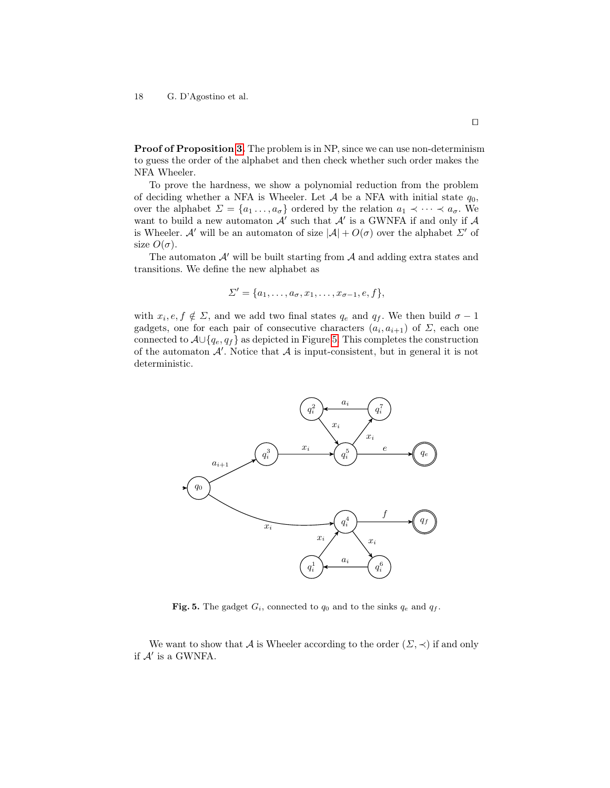Proof of Proposition [3.](#page-9-0) The problem is in NP, since we can use non-determinism to guess the order of the alphabet and then check whether such order makes the NFA Wheeler.

To prove the hardness, we show a polynomial reduction from the problem of deciding whether a NFA is Wheeler. Let  $A$  be a NFA with initial state  $q_0$ , over the alphabet  $\Sigma = \{a_1 \ldots, a_{\sigma}\}\$  ordered by the relation  $a_1 \prec \cdots \prec a_{\sigma}$ . We want to build a new automaton  $\mathcal{A}'$  such that  $\mathcal{A}'$  is a GWNFA if and only if  $\mathcal A$ is Wheeler. A' will be an automaton of size  $|A| + O(\sigma)$  over the alphabet  $\Sigma'$  of size  $O(\sigma)$ .

The automaton  $\mathcal{A}'$  will be built starting from  $\mathcal{A}$  and adding extra states and transitions. We define the new alphabet as

$$
\Sigma' = \{a_1, \ldots, a_{\sigma}, x_1, \ldots, x_{\sigma-1}, e, f\},\,
$$

with  $x_i, e, f \notin \Sigma$ , and we add two final states  $q_e$  and  $q_f$ . We then build  $\sigma - 1$ gadgets, one for each pair of consecutive characters  $(a_i, a_{i+1})$  of  $\Sigma$ , each one connected to  $\mathcal{A} \cup \{q_e, q_f\}$  as depicted in Figure [5.](#page-17-0) This completes the construction of the automaton  $A'$ . Notice that  $A$  is input-consistent, but in general it is not deterministic.



<span id="page-17-0"></span>Fig. 5. The gadget  $G_i$ , connected to  $q_0$  and to the sinks  $q_e$  and  $q_f$ .

We want to show that A is Wheeler according to the order  $(\Sigma, \prec)$  if and only if  $\mathcal{A}'$  is a GWNFA.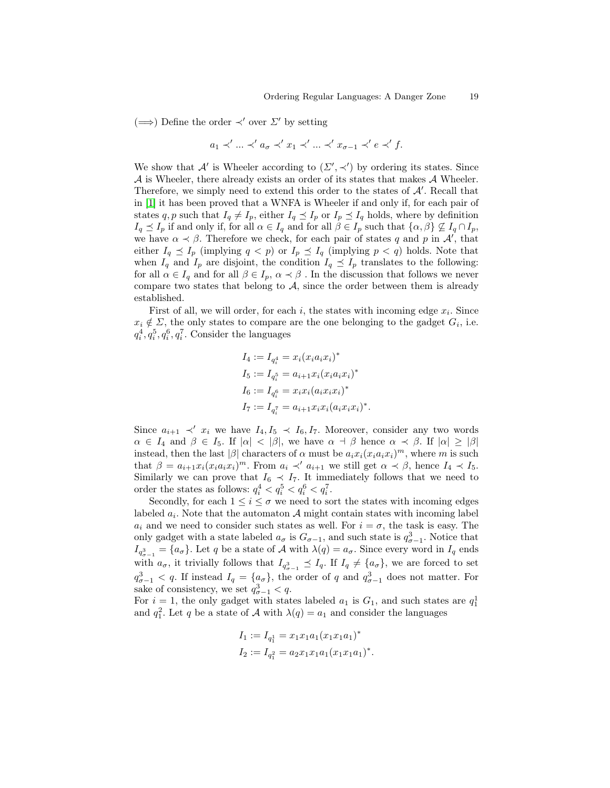.

 $(\Longrightarrow)$  Define the order  $\prec'$  over  $\Sigma'$  by setting

$$
a_1 \prec' \ldots \prec' a_\sigma \prec' x_1 \prec' \ldots \prec' x_{\sigma-1} \prec' e \prec' f.
$$

We show that A' is Wheeler according to  $(\Sigma', \prec')$  by ordering its states. Since  $\mathcal A$  is Wheeler, there already exists an order of its states that makes  $\mathcal A$  Wheeler. Therefore, we simply need to extend this order to the states of  $A'$ . Recall that in [\[1\]](#page-22-7) it has been proved that a WNFA is Wheeler if and only if, for each pair of states q, p such that  $I_q \neq I_p$ , either  $I_q \preceq I_p$  or  $I_p \preceq I_q$  holds, where by definition  $I_q \preceq I_p$  if and only if, for all  $\alpha \in I_q$  and for all  $\beta \in I_p$  such that  $\{\alpha, \beta\} \nsubseteq I_q \cap I_p$ , we have  $\alpha \prec \beta$ . Therefore we check, for each pair of states q and p in  $\mathcal{A}'$ , that either  $I_q \preceq I_p$  (implying  $q < p$ ) or  $I_p \preceq I_q$  (implying  $p < q$ ) holds. Note that when  $I_q$  and  $I_p$  are disjoint, the condition  $I_q \preceq I_p$  translates to the following: for all  $\alpha \in I_q$  and for all  $\beta \in I_p$ ,  $\alpha \prec \beta$ . In the discussion that follows we never compare two states that belong to  $A$ , since the order between them is already established.

First of all, we will order, for each  $i$ , the states with incoming edge  $x_i$ . Since  $x_i \notin \Sigma$ , the only states to compare are the one belonging to the gadget  $G_i$ , i.e.  $q_i^4, q_i^5, q_i^6, q_i^7$ . Consider the languages

$$
I_4 := I_{q_i^4} = x_i (x_i a_i x_i)^*
$$
  
\n
$$
I_5 := I_{q_i^5} = a_{i+1} x_i (x_i a_i x_i)^*
$$
  
\n
$$
I_6 := I_{q_i^6} = x_i x_i (a_i x_i x_i)^*
$$
  
\n
$$
I_7 := I_{q_i^7} = a_{i+1} x_i x_i (a_i x_i x_i)^*
$$

Since  $a_{i+1} \prec' x_i$  we have  $I_4, I_5 \prec I_6, I_7$ . Moreover, consider any two words  $\alpha \in I_4$  and  $\beta \in I_5$ . If  $|\alpha| < |\beta|$ , we have  $\alpha \dashv \beta$  hence  $\alpha \prec \beta$ . If  $|\alpha| \geq |\beta|$ instead, then the last  $|\beta|$  characters of  $\alpha$  must be  $a_i x_i (x_i a_i x_i)^m$ , where m is such that  $\beta = a_{i+1}x_i(x_ia_ix_i)^m$ . From  $a_i \prec' a_{i+1}$  we still get  $\alpha \prec \beta$ , hence  $I_4 \prec I_5$ . Similarly we can prove that  $I_6 \preceq I_7$ . It immediately follows that we need to order the states as follows:  $q_i^4 < q_i^5 < q_i^6 < q_i^7$ .

Secondly, for each  $1 \leq i \leq \sigma$  we need to sort the states with incoming edges labeled  $a_i$ . Note that the automaton  $A$  might contain states with incoming label  $a_i$  and we need to consider such states as well. For  $i = \sigma$ , the task is easy. The only gadget with a state labeled  $a_{\sigma}$  is  $G_{\sigma-1}$ , and such state is  $q_{\sigma-1}^3$ . Notice that  $I_{q_{\sigma-1}^3} = \{a_{\sigma}\}\.$  Let q be a state of A with  $\lambda(q) = a_{\sigma}$ . Since every word in  $I_q$  ends with  $a_{\sigma}$ , it trivially follows that  $I_{q_{\sigma-1}^3} \preceq I_q$ . If  $I_q \neq \{a_{\sigma}\}\$ , we are forced to set  $q_{\sigma-1}^3 < q$ . If instead  $I_q = \{a_{\sigma}\}\$ , the order of q and  $q_{\sigma-1}^3$  does not matter. For sake of consistency, we set  $q_{\sigma-1}^3 < q$ .

For  $i = 1$ , the only gadget with states labeled  $a_1$  is  $G_1$ , and such states are  $q_1^1$ and  $q_1^2$ . Let q be a state of A with  $\lambda(q) = a_1$  and consider the languages

$$
I_1 := I_{q_1^1} = x_1 x_1 a_1 (x_1 x_1 a_1)^*
$$
  
\n
$$
I_2 := I_{q_1^2} = a_2 x_1 x_1 a_1 (x_1 x_1 a_1)^*.
$$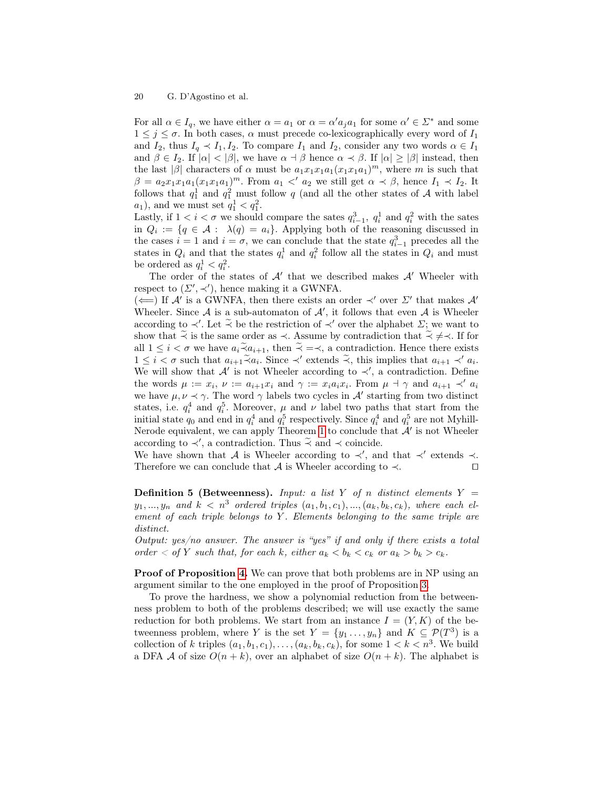For all  $\alpha \in I_q$ , we have either  $\alpha = a_1$  or  $\alpha = \alpha' a_j a_1$  for some  $\alpha' \in \Sigma^*$  and some  $1 \leq j \leq \sigma$ . In both cases,  $\alpha$  must precede co-lexicographically every word of  $I_1$ and  $I_2$ , thus  $I_q \prec I_1, I_2$ . To compare  $I_1$  and  $I_2$ , consider any two words  $\alpha \in I_1$ and  $\beta \in I_2$ . If  $|\alpha| < |\beta|$ , we have  $\alpha \beta \beta$  hence  $\alpha \beta \beta$ . If  $|\alpha| \geq |\beta|$  instead, then the last | $\beta$ | characters of  $\alpha$  must be  $a_1x_1x_1a_1(x_1x_1a_1)^m$ , where m is such that  $\beta = a_2 x_1 x_1 a_1 (x_1 x_1 a_1)^m$ . From  $a_1 < a_2$  we still get  $\alpha \prec \beta$ , hence  $I_1 \prec I_2$ . It follows that  $q_1^1$  and  $q_1^2$  must follow q (and all the other states of A with label  $a_1$ , and we must set  $q_1^1 < q_1^2$ .

Lastly, if  $1 < i < \sigma$  we should compare the sates  $q_{i-1}^3$ ,  $q_i^1$  and  $q_i^2$  with the sates in  $Q_i := \{q \in \mathcal{A} : \lambda(q) = a_i\}.$  Applying both of the reasoning discussed in the cases  $i = 1$  and  $i = \sigma$ , we can conclude that the state  $q_{i-1}^3$  precedes all the states in  $Q_i$  and that the states  $q_i^1$  and  $q_i^2$  follow all the states in  $Q_i$  and must be ordered as  $q_i^1 < q_i^2$ .

The order of the states of  $A'$  that we described makes  $A'$  Wheeler with respect to  $(\Sigma', \prec')$ , hence making it a GWNFA.

( $\Longleftarrow$ ) If A' is a GWNFA, then there exists an order ≺' over  $\Sigma'$  that makes A' Wheeler. Since  $A$  is a sub-automaton of  $A'$ , it follows that even  $A$  is Wheeler according to  $\prec'$ . Let  $\widetilde{\prec}$  be the restriction of  $\prec'$  over the alphabet  $\Sigma$ ; we want to chemical integration that  $\widetilde{\prec}$  /  $\prec$  If for show that  $\tilde{\prec}$  is the same order as  $\prec$ . Assume by contradiction that  $\tilde{\prec} \neq \prec$ . If for all  $1 \leq i < \sigma$  we have  $a_i \tilde{\prec} a_{i+1}$ , then  $\tilde{\prec} = \prec$ , a contradiction. Hence there exists  $1 \leq i < \sigma$  such that  $a_{i+1} \tilde{\prec} a_i$ . Since ≺' extends  $\tilde{\prec}$ , this implies that  $a_{i+1} \prec' a_i$ .<br>We will show that N' is not Wheeler essenting to V a septendiction Define We will show that  $\mathcal{A}'$  is not Wheeler according to  $\prec'$ , a contradiction. Define the words  $\mu := x_i$ ,  $\nu := a_{i+1}x_i$  and  $\gamma := x_ia_ix_i$ . From  $\mu \dashv \gamma$  and  $a_{i+1} \prec' a_i$ we have  $\mu, \nu \prec \gamma$ . The word  $\gamma$  labels two cycles in A' starting from two distinct states, i.e.  $q_i^4$  and  $q_i^5$ . Moreover,  $\mu$  and  $\nu$  label two paths that start from the initial state  $q_0$  and end in  $q_i^4$  and  $q_i^5$  respectively. Since  $q_i^4$  and  $q_i^5$  are not Myhill-Nerode equivalent, we can apply Theorem [1](#page-5-1) to conclude that  $A'$  is not Wheeler according to  $\prec'$ , a contradiction. Thus  $\widetilde{\prec}$  and  $\prec$  coincide.

We have shown that A is Wheeler according to  $\prec'$ , and that  $\prec'$  extends  $\prec$ . Therefore we can conclude that  $\mathcal A$  is Wheeler according to  $\prec$ .

**Definition 5 (Betweenness).** Input: a list Y of n distinct elements Y =  $y_1, ..., y_n$  and  $k < n^3$  ordered triples  $(a_1, b_1, c_1), ..., (a_k, b_k, c_k)$ , where each element of each triple belongs to  $Y$ . Elements belonging to the same triple are distinct.

Output:  $yes/no$  answer. The answer is "yes" if and only if there exists a total order  $\langle$  of Y such that, for each k, either  $a_k < b_k < c_k$  or  $a_k > b_k > c_k$ .

Proof of Proposition [4.](#page-9-1) We can prove that both problems are in NP using an argument similar to the one employed in the proof of Proposition [3.](#page-9-0)

To prove the hardness, we show a polynomial reduction from the betweenness problem to both of the problems described; we will use exactly the same reduction for both problems. We start from an instance  $I = (Y, K)$  of the betweenness problem, where Y is the set  $Y = \{y_1, \ldots, y_n\}$  and  $K \subseteq \mathcal{P}(T^3)$  is a collection of k triples  $(a_1, b_1, c_1), \ldots, (a_k, b_k, c_k)$ , for some  $1 < k < n^3$ . We build a DFA A of size  $O(n+k)$ , over an alphabet of size  $O(n+k)$ . The alphabet is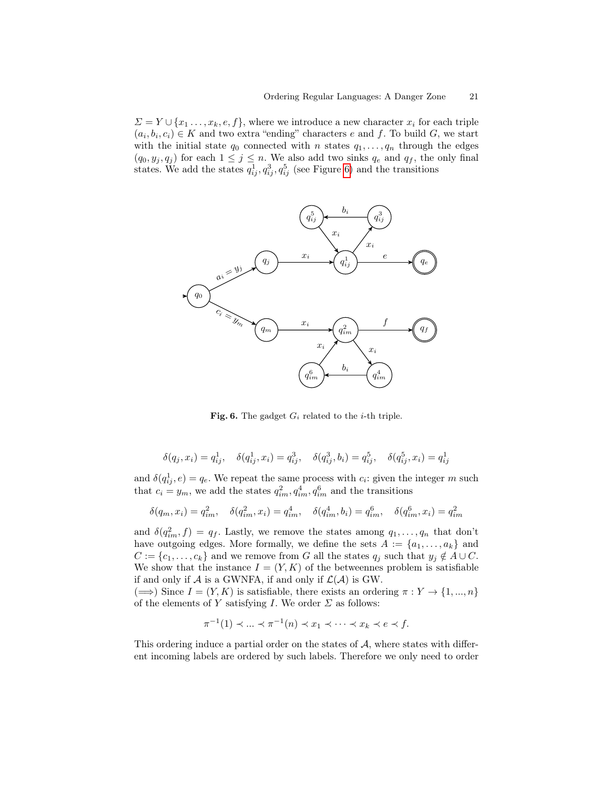$\Sigma = Y \cup \{x_1, \ldots, x_k, e, f\}$ , where we introduce a new character  $x_i$  for each triple  $(a_i, b_i, c_i) \in K$  and two extra "ending" characters e and f. To build G, we start with the initial state  $q_0$  connected with n states  $q_1, \ldots, q_n$  through the edges  $(q_0, y_j, q_j)$  for each  $1 \leq j \leq n$ . We also add two sinks  $q_e$  and  $q_f$ , the only final states. We add the states  $q_{ij}^1, q_{ij}^3, q_{ij}^5$  (see Figure [6\)](#page-20-0) and the transitions



Fig. 6. The gadget  $G_i$  related to the *i*-th triple.

<span id="page-20-0"></span>
$$
\delta(q_j, x_i) = q_{ij}^1, \quad \delta(q_{ij}^1, x_i) = q_{ij}^3, \quad \delta(q_{ij}^3, b_i) = q_{ij}^5, \quad \delta(q_{ij}^5, x_i) = q_{ij}^1
$$

and  $\delta(q_{ij}^1, e) = q_e$ . We repeat the same process with  $c_i$ : given the integer m such that  $c_i = y_m$ , we add the states  $q_{im}^2, q_{im}^4, q_{im}^6$  and the transitions

$$
\delta(q_m, x_i) = q_{im}^2, \quad \delta(q_{im}^2, x_i) = q_{im}^4, \quad \delta(q_{im}^4, b_i) = q_{im}^6, \quad \delta(q_{im}^6, x_i) = q_{im}^2
$$

and  $\delta(q_{im}^2, f) = q_f$ . Lastly, we remove the states among  $q_1, \ldots, q_n$  that don't have outgoing edges. More formally, we define the sets  $A := \{a_1, \ldots, a_k\}$  and  $C := \{c_1, \ldots, c_k\}$  and we remove from G all the states  $q_j$  such that  $y_j \notin A \cup C$ . We show that the instance  $I = (Y, K)$  of the betweennes problem is satisfiable if and only if  $A$  is a GWNFA, if and only if  $\mathcal{L}(A)$  is GW.  $(\Longrightarrow)$  Since  $I = (Y, K)$  is satisfiable, there exists an ordering  $\pi : Y \to \{1, ..., n\}$ 

of the elements of Y satisfying I. We order  $\Sigma$  as follows:

$$
\pi^{-1}(1) \prec \ldots \prec \pi^{-1}(n) \prec x_1 \prec \cdots \prec x_k \prec e \prec f.
$$

This ordering induce a partial order on the states of  $A$ , where states with different incoming labels are ordered by such labels. Therefore we only need to order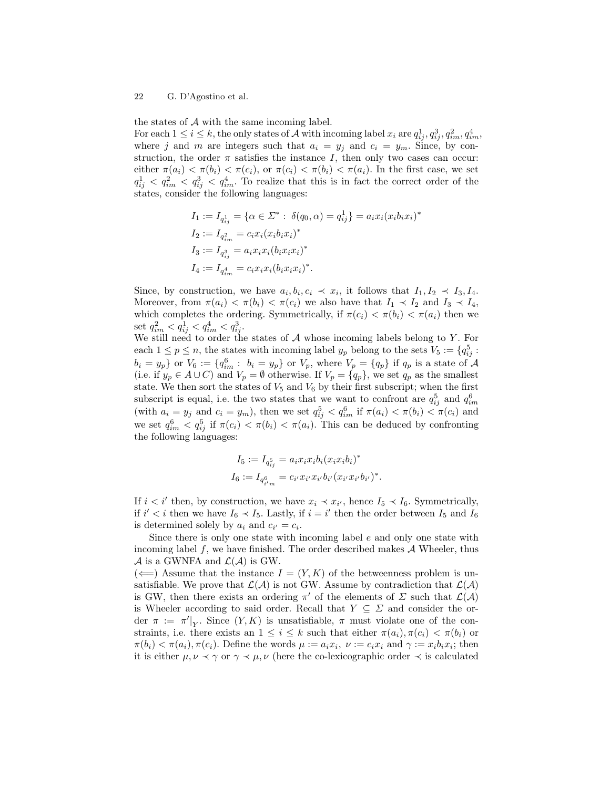the states of  $A$  with the same incoming label.

For each  $1 \leq i \leq k$ , the only states of A with incoming label  $x_i$  are  $q_{ij}^1, q_{ij}^3, q_{im}^2, q_{im}^4$ where j and m are integers such that  $a_i = y_j$  and  $c_i = y_m$ . Since, by construction, the order  $\pi$  satisfies the instance I, then only two cases can occur: either  $\pi(a_i) < \pi(b_i) < \pi(c_i)$ , or  $\pi(c_i) < \pi(b_i) < \pi(a_i)$ . In the first case, we set  $q_{ij}^1$   $\langle q_{im}^2 \rangle \langle q_{im}^4$ . To realize that this is in fact the correct order of the states, consider the following languages:

$$
I_1 := I_{q_{ij}^1} = \{ \alpha \in \Sigma^* : \delta(q_0, \alpha) = q_{ij}^1 \} = a_i x_i (x_i b_i x_i)^*
$$
  
\n
$$
I_2 := I_{q_{im}^2} = c_i x_i (x_i b_i x_i)^*
$$
  
\n
$$
I_3 := I_{q_{ij}^3} = a_i x_i x_i (b_i x_i x_i)^*
$$
  
\n
$$
I_4 := I_{q_{im}^4} = c_i x_i x_i (b_i x_i x_i)^*.
$$

Since, by construction, we have  $a_i, b_i, c_i \prec x_i$ , it follows that  $I_1, I_2 \prec I_3, I_4$ . Moreover, from  $\pi(a_i) < \pi(b_i) < \pi(c_i)$  we also have that  $I_1 \prec I_2$  and  $I_3 \prec I_4$ , which completes the ordering. Symmetrically, if  $\pi(c_i) < \pi(b_i) < \pi(a_i)$  then we set  $q_{im}^2 < q_{ij}^1 < q_{im}^4 < q_{ij}^3$ .

We still need to order the states of  $A$  whose incoming labels belong to Y. For each  $1 \le p \le n$ , the states with incoming label  $y_p$  belong to the sets  $V_5 := \{q_{ij}^5 : f \in \mathbb{R}^3 : |f|_5 = 1\}$  $b_i = y_p$  or  $V_6 := \{q_{im}^6 : b_i = y_p\}$  or  $V_p$ , where  $V_p = \{q_p\}$  if  $q_p$  is a state of  $\mathcal A$ (i.e. if  $y_p \in A \cup C$ ) and  $V_p = \emptyset$  otherwise. If  $V_p = \{q_p\}$ , we set  $q_p$  as the smallest state. We then sort the states of  $V_5$  and  $V_6$  by their first subscript; when the first subscript is equal, i.e. the two states that we want to confront are  $q_{ij}^5$  and  $q_{im}^6$ (with  $a_i = y_j$  and  $c_i = y_m$ ), then we set  $q_{ij}^5 < q_{im}^6$  if  $\pi(a_i) < \pi(b_i) < \pi(c_i)$  and we set  $q_{im}^6 < q_{ij}^5$  if  $\pi(c_i) < \pi(b_i) < \pi(a_i)$ . This can be deduced by confronting the following languages:

$$
I_5 := I_{q_{ij}^5} = a_i x_i x_i b_i (x_i x_i b_i)^*
$$
  

$$
I_6 := I_{q_{i'm}^6} = c_{i'} x_{i'} x_{i'} b_{i'} (x_{i'} x_{i'} b_{i'})^*.
$$

If  $i < i'$  then, by construction, we have  $x_i \prec x_{i'}$ , hence  $I_5 \prec I_6$ . Symmetrically, if  $i' < i$  then we have  $I_6 \prec I_5$ . Lastly, if  $i = i'$  then the order between  $I_5$  and  $I_6$ is determined solely by  $a_i$  and  $c_{i'} = c_i$ .

Since there is only one state with incoming label  $e$  and only one state with incoming label  $f$ , we have finished. The order described makes  $A$  Wheeler, thus  $\mathcal A$  is a GWNFA and  $\mathcal L(\mathcal A)$  is GW.

 $(\Leftarrow)$  Assume that the instance  $I = (Y, K)$  of the betweenness problem is unsatisfiable. We prove that  $\mathcal{L}(\mathcal{A})$  is not GW. Assume by contradiction that  $\mathcal{L}(\mathcal{A})$ is GW, then there exists an ordering  $\pi'$  of the elements of  $\Sigma$  such that  $\mathcal{L}(\mathcal{A})$ is Wheeler according to said order. Recall that  $Y \subseteq \Sigma$  and consider the order  $\pi := \pi'|_Y$ . Since  $(Y, K)$  is unsatisfiable,  $\pi$  must violate one of the constraints, i.e. there exists an  $1 \leq i \leq k$  such that either  $\pi(a_i), \pi(c_i) < \pi(b_i)$  or  $\pi(b_i) < \pi(a_i), \pi(c_i)$ . Define the words  $\mu := a_i x_i, \ \nu := c_i x_i$  and  $\gamma := x_i b_i x_i$ ; then it is either  $\mu, \nu \prec \gamma$  or  $\gamma \prec \mu, \nu$  (here the co-lexicographic order  $\prec$  is calculated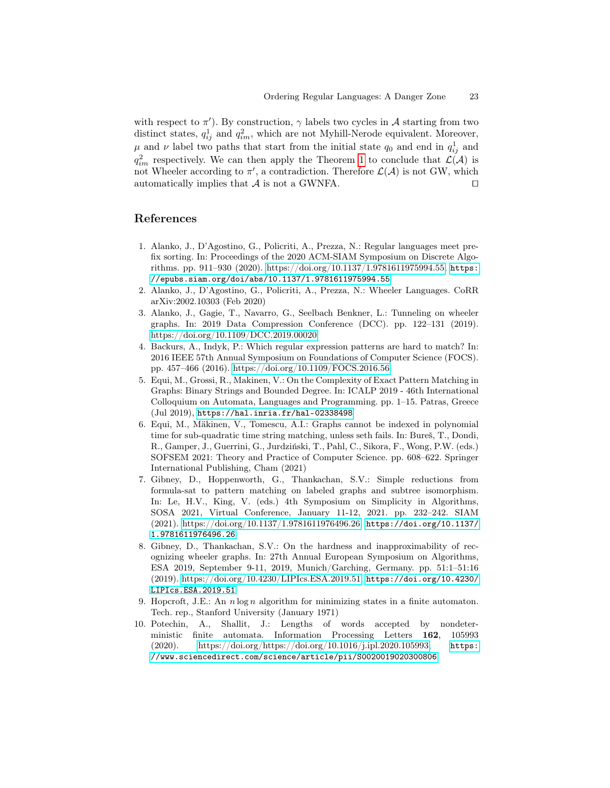with respect to  $\pi'$ ). By construction,  $\gamma$  labels two cycles in A starting from two distinct states,  $q_{ij}^1$  and  $q_{im}^2$ , which are not Myhill-Nerode equivalent. Moreover,  $\mu$  and  $\nu$  label two paths that start from the initial state  $q_0$  and end in  $q_{ij}^1$  and  $q_{im}^2$  respectively. We can then apply the Theorem [1](#page-5-1) to conclude that  $\mathcal{L}(\mathcal{A})$  is not Wheeler according to  $\pi'$ , a contradiction. Therefore  $\mathcal{L}(\mathcal{A})$  is not GW, which automatically implies that  $A$  is not a GWNFA.

### References

- <span id="page-22-7"></span>1. Alanko, J., D'Agostino, G., Policriti, A., Prezza, N.: Regular languages meet prefix sorting. In: Proceedings of the 2020 ACM-SIAM Symposium on Discrete Algorithms. pp. 911–930 (2020). [https://doi.org/10.1137/1.9781611975994.55,](https://doi.org/10.1137/1.9781611975994.55) [https:](https://epubs.siam.org/doi/abs/10.1137/1.9781611975994.55) [//epubs.siam.org/doi/abs/10.1137/1.9781611975994.55](https://epubs.siam.org/doi/abs/10.1137/1.9781611975994.55)
- <span id="page-22-6"></span>2. Alanko, J., D'Agostino, G., Policriti, A., Prezza, N.: Wheeler Languages. CoRR arXiv:2002.10303 (Feb 2020)
- <span id="page-22-0"></span>3. Alanko, J., Gagie, T., Navarro, G., Seelbach Benkner, L.: Tunneling on wheeler graphs. In: 2019 Data Compression Conference (DCC). pp. 122–131 (2019). <https://doi.org/10.1109/DCC.2019.00020>
- <span id="page-22-1"></span>4. Backurs, A., Indyk, P.: Which regular expression patterns are hard to match? In: 2016 IEEE 57th Annual Symposium on Foundations of Computer Science (FOCS). pp. 457–466 (2016).<https://doi.org/10.1109/FOCS.2016.56>
- <span id="page-22-2"></span>5. Equi, M., Grossi, R., Makinen, V.: On the Complexity of Exact Pattern Matching in Graphs: Binary Strings and Bounded Degree. In: ICALP 2019 - 46th International Colloquium on Automata, Languages and Programming. pp. 1–15. Patras, Greece (Jul 2019), <https://hal.inria.fr/hal-02338498>
- <span id="page-22-3"></span>6. Equi, M., Mäkinen, V., Tomescu, A.I.: Graphs cannot be indexed in polynomial time for sub-quadratic time string matching, unless seth fails. In: Bureš, T., Dondi, R., Gamper, J., Guerrini, G., Jurdziński, T., Pahl, C., Sikora, F., Wong, P.W. (eds.) SOFSEM 2021: Theory and Practice of Computer Science. pp. 608–622. Springer International Publishing, Cham (2021)
- <span id="page-22-4"></span>7. Gibney, D., Hoppenworth, G., Thankachan, S.V.: Simple reductions from formula-sat to pattern matching on labeled graphs and subtree isomorphism. In: Le, H.V., King, V. (eds.) 4th Symposium on Simplicity in Algorithms, SOSA 2021, Virtual Conference, January 11-12, 2021. pp. 232–242. SIAM (2021). [https://doi.org/10.1137/1.9781611976496.26,](https://doi.org/10.1137/1.9781611976496.26) [https://doi.org/10.1137/](https://doi.org/10.1137/1.9781611976496.26) [1.9781611976496.26](https://doi.org/10.1137/1.9781611976496.26)
- <span id="page-22-8"></span>8. Gibney, D., Thankachan, S.V.: On the hardness and inapproximability of recognizing wheeler graphs. In: 27th Annual European Symposium on Algorithms, ESA 2019, September 9-11, 2019, Munich/Garching, Germany. pp. 51:1–51:16 (2019). [https://doi.org/10.4230/LIPIcs.ESA.2019.51,](https://doi.org/10.4230/LIPIcs.ESA.2019.51) [https://doi.org/10.4230/](https://doi.org/10.4230/LIPIcs.ESA.2019.51) [LIPIcs.ESA.2019.51](https://doi.org/10.4230/LIPIcs.ESA.2019.51)
- <span id="page-22-9"></span>9. Hopcroft, J.E.: An  $n \log n$  algorithm for minimizing states in a finite automaton. Tech. rep., Stanford University (January 1971)
- <span id="page-22-5"></span>10. Potechin, A., Shallit, J.: Lengths of words accepted by nondeterministic finite automata. Information Processing Letters 162, 105993 (2020). [https://doi.org/https://doi.org/10.1016/j.ipl.2020.105993,](https://doi.org/https://doi.org/10.1016/j.ipl.2020.105993) [https:](https://www.sciencedirect.com/science/article/pii/S0020019020300806) [//www.sciencedirect.com/science/article/pii/S0020019020300806](https://www.sciencedirect.com/science/article/pii/S0020019020300806)